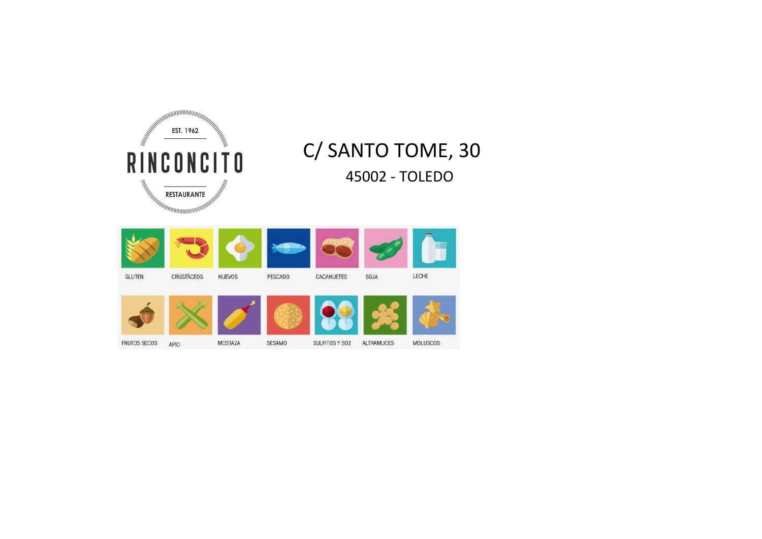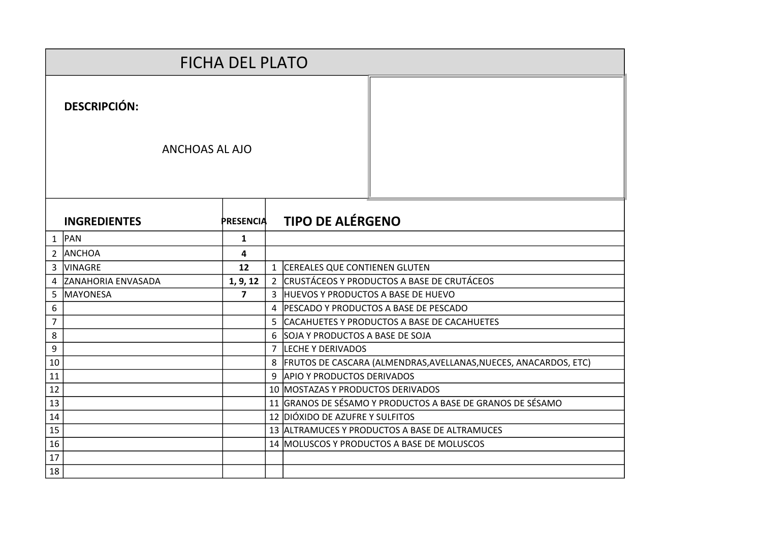|                |                           | <b>FICHA DEL PLATO</b> |                |                                                                        |                                                                  |
|----------------|---------------------------|------------------------|----------------|------------------------------------------------------------------------|------------------------------------------------------------------|
|                | <b>DESCRIPCIÓN:</b>       |                        |                |                                                                        |                                                                  |
|                | <b>ANCHOAS AL AJO</b>     |                        |                |                                                                        |                                                                  |
|                | <b>INGREDIENTES</b>       | <b>PRESENCIA</b>       |                | <b>TIPO DE ALÉRGENO</b>                                                |                                                                  |
|                | $1$ PAN                   | 1                      |                |                                                                        |                                                                  |
| $2^{\circ}$    | <b>ANCHOA</b>             | 4                      |                |                                                                        |                                                                  |
| 3              | <b>VINAGRE</b>            | 12                     |                | 1 CEREALES QUE CONTIENEN GLUTEN                                        |                                                                  |
| 4              | <b>ZANAHORIA ENVASADA</b> | 1, 9, 12               |                |                                                                        | 2 CRUSTÁCEOS Y PRODUCTOS A BASE DE CRUTÁCEOS                     |
| 5              | MAYONESA                  | $\overline{7}$         |                | 3 HUEVOS Y PRODUCTOS A BASE DE HUEVO                                   |                                                                  |
| 6              |                           |                        | $\overline{a}$ |                                                                        | <b>PESCADO Y PRODUCTOS A BASE DE PESCADO</b>                     |
| $\overline{7}$ |                           |                        |                |                                                                        | 5 CACAHUETES Y PRODUCTOS A BASE DE CACAHUETES                    |
| 8              |                           |                        | 6              | SOJA Y PRODUCTOS A BASE DE SOJA                                        |                                                                  |
| 9              |                           |                        | 7              | LECHE Y DERIVADOS                                                      |                                                                  |
| 10             |                           |                        | 8              |                                                                        | FRUTOS DE CASCARA (ALMENDRAS, AVELLANAS, NUECES, ANACARDOS, ETC) |
| 11<br>12       |                           |                        | 9              | <b>APIO Y PRODUCTOS DERIVADOS</b><br>10 MOSTAZAS Y PRODUCTOS DERIVADOS |                                                                  |
| 13             |                           |                        |                |                                                                        | 11 GRANOS DE SÉSAMO Y PRODUCTOS A BASE DE GRANOS DE SÉSAMO       |
| 14             |                           |                        |                | 12 DIÓXIDO DE AZUFRE Y SULFITOS                                        |                                                                  |
| 15             |                           |                        |                |                                                                        | 13 ALTRAMUCES Y PRODUCTOS A BASE DE ALTRAMUCES                   |
| 16             |                           |                        |                |                                                                        | 14 MOLUSCOS Y PRODUCTOS A BASE DE MOLUSCOS                       |
| 17             |                           |                        |                |                                                                        |                                                                  |
| 18             |                           |                        |                |                                                                        |                                                                  |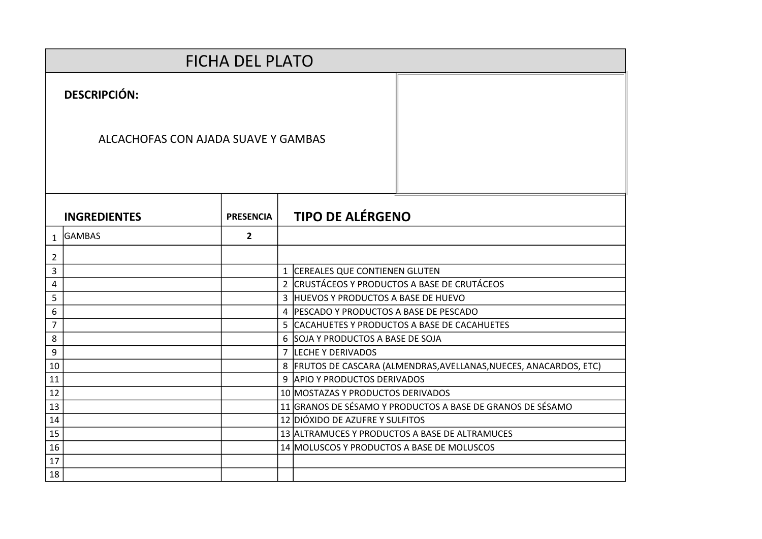|                | <b>FICHA DEL PLATO</b>              |                  |  |                                                                    |  |  |  |  |  |  |
|----------------|-------------------------------------|------------------|--|--------------------------------------------------------------------|--|--|--|--|--|--|
|                | <b>DESCRIPCIÓN:</b>                 |                  |  |                                                                    |  |  |  |  |  |  |
|                | ALCACHOFAS CON AJADA SUAVE Y GAMBAS |                  |  |                                                                    |  |  |  |  |  |  |
|                | <b>INGREDIENTES</b>                 | <b>PRESENCIA</b> |  | <b>TIPO DE ALÉRGENO</b>                                            |  |  |  |  |  |  |
| $\mathbf{1}$   | <b>GAMBAS</b>                       | $\overline{2}$   |  |                                                                    |  |  |  |  |  |  |
| $\overline{2}$ |                                     |                  |  |                                                                    |  |  |  |  |  |  |
| 3              |                                     |                  |  | 1 CEREALES QUE CONTIENEN GLUTEN                                    |  |  |  |  |  |  |
| 4              |                                     |                  |  | 2 CRUSTÁCEOS Y PRODUCTOS A BASE DE CRUTÁCEOS                       |  |  |  |  |  |  |
| 5              |                                     |                  |  | 3 HUEVOS Y PRODUCTOS A BASE DE HUEVO                               |  |  |  |  |  |  |
| 6              |                                     |                  |  | 4 PESCADO Y PRODUCTOS A BASE DE PESCADO                            |  |  |  |  |  |  |
| $\overline{7}$ |                                     |                  |  | 5 CACAHUETES Y PRODUCTOS A BASE DE CACAHUETES                      |  |  |  |  |  |  |
| 8              |                                     |                  |  | 6 SOJA Y PRODUCTOS A BASE DE SOJA                                  |  |  |  |  |  |  |
| 9              |                                     |                  |  | 7 LECHE Y DERIVADOS                                                |  |  |  |  |  |  |
| 10             |                                     |                  |  | 8 FRUTOS DE CASCARA (ALMENDRAS, AVELLANAS, NUECES, ANACARDOS, ETC) |  |  |  |  |  |  |
| 11             |                                     |                  |  | 9 APIO Y PRODUCTOS DERIVADOS                                       |  |  |  |  |  |  |
| 12             |                                     |                  |  | 10 MOSTAZAS Y PRODUCTOS DERIVADOS                                  |  |  |  |  |  |  |
| 13             |                                     |                  |  | 11 GRANOS DE SÉSAMO Y PRODUCTOS A BASE DE GRANOS DE SÉSAMO         |  |  |  |  |  |  |
| 14             |                                     |                  |  | 12 DIÓXIDO DE AZUFRE Y SULFITOS                                    |  |  |  |  |  |  |
| 15             |                                     |                  |  | 13 ALTRAMUCES Y PRODUCTOS A BASE DE ALTRAMUCES                     |  |  |  |  |  |  |
| 16             |                                     |                  |  | 14 MOLUSCOS Y PRODUCTOS A BASE DE MOLUSCOS                         |  |  |  |  |  |  |
| 17             |                                     |                  |  |                                                                    |  |  |  |  |  |  |
| 18             |                                     |                  |  |                                                                    |  |  |  |  |  |  |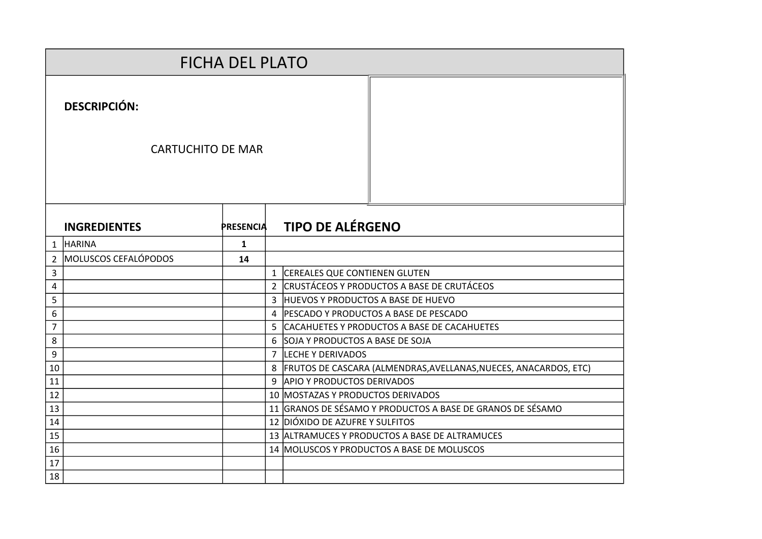|              | <b>FICHA DEL PLATO</b>   |                  |                |                                                                      |  |  |  |  |
|--------------|--------------------------|------------------|----------------|----------------------------------------------------------------------|--|--|--|--|
|              | <b>DESCRIPCIÓN:</b>      |                  |                |                                                                      |  |  |  |  |
|              | <b>CARTUCHITO DE MAR</b> |                  |                |                                                                      |  |  |  |  |
|              | <b>INGREDIENTES</b>      | <b>PRESENCIA</b> |                | <b>TIPO DE ALÉRGENO</b>                                              |  |  |  |  |
| $\mathbf{1}$ | <b>HARINA</b>            | $\mathbf{1}$     |                |                                                                      |  |  |  |  |
| 2            | MOLUSCOS CEFALÓPODOS     | 14               |                |                                                                      |  |  |  |  |
| 3            |                          |                  | $\mathbf{1}$   | CEREALES QUE CONTIENEN GLUTEN                                        |  |  |  |  |
| 4            |                          |                  | $\overline{2}$ | CRUSTÁCEOS Y PRODUCTOS A BASE DE CRUTÁCEOS                           |  |  |  |  |
| 5            |                          |                  |                | 3 HUEVOS Y PRODUCTOS A BASE DE HUEVO                                 |  |  |  |  |
| 6            |                          |                  |                | 4 PESCADO Y PRODUCTOS A BASE DE PESCADO                              |  |  |  |  |
| 7            |                          |                  |                | 5 CACAHUETES Y PRODUCTOS A BASE DE CACAHUETES                        |  |  |  |  |
| 8            |                          |                  |                | 6 SOJA Y PRODUCTOS A BASE DE SOJA                                    |  |  |  |  |
| 9            |                          |                  |                | 7 LECHE Y DERIVADOS                                                  |  |  |  |  |
| 10           |                          |                  |                | 8   FRUTOS DE CASCARA (ALMENDRAS, AVELLANAS, NUECES, ANACARDOS, ETC) |  |  |  |  |
| 11           |                          |                  |                | 9 APIO Y PRODUCTOS DERIVADOS                                         |  |  |  |  |
| 12           |                          |                  |                | 10 MOSTAZAS Y PRODUCTOS DERIVADOS                                    |  |  |  |  |
| 13           |                          |                  |                | 11 GRANOS DE SÉSAMO Y PRODUCTOS A BASE DE GRANOS DE SÉSAMO           |  |  |  |  |
| 14           |                          |                  |                | 12 DIÓXIDO DE AZUFRE Y SULFITOS                                      |  |  |  |  |
| 15           |                          |                  |                | 13 ALTRAMUCES Y PRODUCTOS A BASE DE ALTRAMUCES                       |  |  |  |  |
| 16           |                          |                  |                | 14 MOLUSCOS Y PRODUCTOS A BASE DE MOLUSCOS                           |  |  |  |  |
| 17           |                          |                  |                |                                                                      |  |  |  |  |
| 18           |                          |                  |                |                                                                      |  |  |  |  |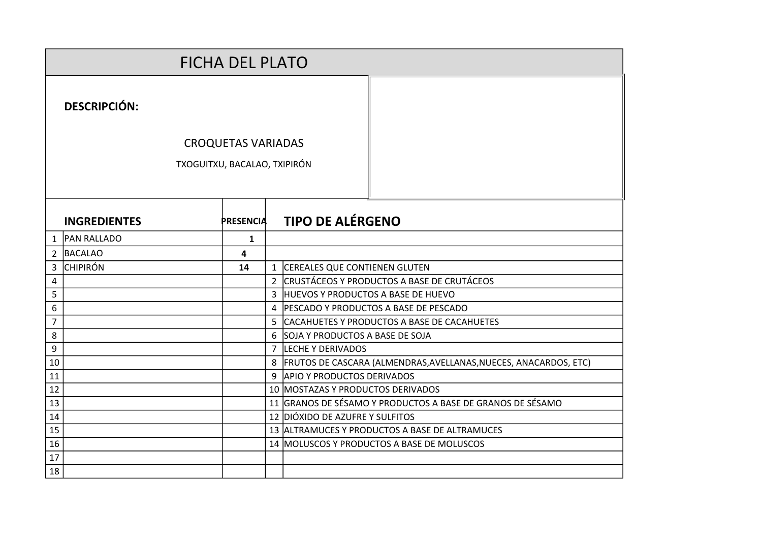|                     |                              | <b>FICHA DEL PLATO</b>    |              |                                                                      |
|---------------------|------------------------------|---------------------------|--------------|----------------------------------------------------------------------|
|                     | <b>DESCRIPCIÓN:</b>          |                           |              |                                                                      |
|                     |                              | <b>CROQUETAS VARIADAS</b> |              |                                                                      |
|                     | TXOGUITXU, BACALAO, TXIPIRÓN |                           |              |                                                                      |
|                     |                              |                           |              |                                                                      |
|                     |                              |                           |              |                                                                      |
|                     | <b>INGREDIENTES</b>          | <b>PRESENCIA</b>          |              | <b>TIPO DE ALÉRGENO</b>                                              |
|                     |                              |                           |              |                                                                      |
| $\mathbf{1}$        | <b>PAN RALLADO</b>           | $\mathbf{1}$              |              |                                                                      |
| $\overline{2}$<br>3 | BACALAO<br><b>CHIPIRÓN</b>   | 4<br>14                   |              | 1 CEREALES QUE CONTIENEN GLUTEN                                      |
| 4                   |                              |                           |              | 2 CRUSTÁCEOS Y PRODUCTOS A BASE DE CRUTÁCEOS                         |
| 5                   |                              |                           | $\mathbf{R}$ | HUEVOS Y PRODUCTOS A BASE DE HUEVO                                   |
| 6                   |                              |                           |              | 4 PESCADO Y PRODUCTOS A BASE DE PESCADO                              |
| $\overline{7}$      |                              |                           |              | 5 CACAHUETES Y PRODUCTOS A BASE DE CACAHUETES                        |
| 8                   |                              |                           |              | 6 SOJA Y PRODUCTOS A BASE DE SOJA                                    |
| 9                   |                              |                           |              | 7  LECHE Y DERIVADOS                                                 |
| 10                  |                              |                           |              | 8   FRUTOS DE CASCARA (ALMENDRAS, AVELLANAS, NUECES, ANACARDOS, ETC) |
| 11                  |                              |                           |              | 9 APIO Y PRODUCTOS DERIVADOS                                         |
| 12                  |                              |                           |              | 10 MOSTAZAS Y PRODUCTOS DERIVADOS                                    |
| 13                  |                              |                           |              | 11 GRANOS DE SÉSAMO Y PRODUCTOS A BASE DE GRANOS DE SÉSAMO           |
| 14                  |                              |                           |              | 12 DIÓXIDO DE AZUFRE Y SULFITOS                                      |
| 15                  |                              |                           |              | 13 ALTRAMUCES Y PRODUCTOS A BASE DE ALTRAMUCES                       |
| 16<br>17            |                              |                           |              | 14 MOLUSCOS Y PRODUCTOS A BASE DE MOLUSCOS                           |
| 18                  |                              |                           |              |                                                                      |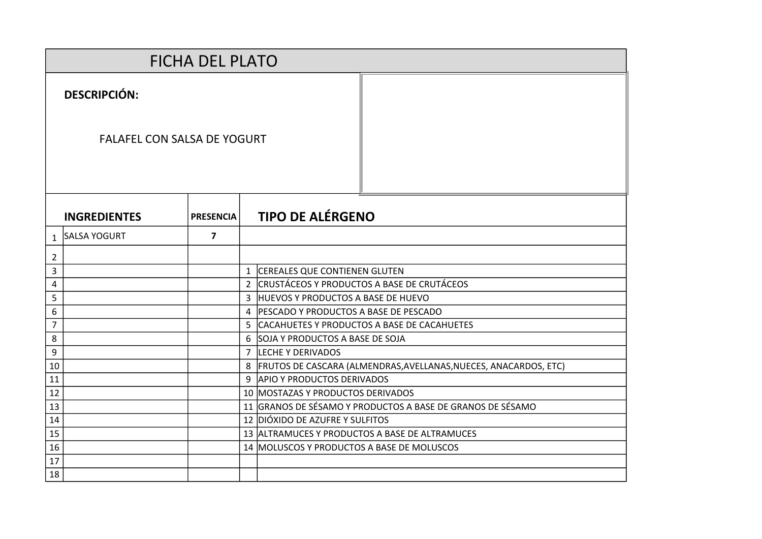|                |                                    | <b>FICHA DEL PLATO</b> |                                                                                                 |
|----------------|------------------------------------|------------------------|-------------------------------------------------------------------------------------------------|
|                | <b>DESCRIPCIÓN:</b>                |                        |                                                                                                 |
|                | <b>FALAFEL CON SALSA DE YOGURT</b> |                        |                                                                                                 |
|                | <b>INGREDIENTES</b>                | <b>PRESENCIA</b>       | <b>TIPO DE ALÉRGENO</b>                                                                         |
| $\mathbf{1}$   | <b>SALSA YOGURT</b>                | $\overline{7}$         |                                                                                                 |
| $\overline{2}$ |                                    |                        |                                                                                                 |
| 3              |                                    |                        | 1 CEREALES QUE CONTIENEN GLUTEN                                                                 |
| 4              |                                    |                        | 2 CRUSTÁCEOS Y PRODUCTOS A BASE DE CRUTÁCEOS                                                    |
| 5              |                                    |                        | 3 HUEVOS Y PRODUCTOS A BASE DE HUEVO                                                            |
| 6              |                                    |                        | 4 PESCADO Y PRODUCTOS A BASE DE PESCADO                                                         |
| $\overline{7}$ |                                    |                        | 5 CACAHUETES Y PRODUCTOS A BASE DE CACAHUETES                                                   |
| 8              |                                    |                        | 6 SOJA Y PRODUCTOS A BASE DE SOJA                                                               |
| 9              |                                    |                        | 7 LECHE Y DERIVADOS                                                                             |
| 10             |                                    |                        | 8   FRUTOS DE CASCARA (ALMENDRAS, AVELLANAS, NUECES, ANACARDOS, ETC)                            |
| 11             |                                    |                        | 9 APIO Y PRODUCTOS DERIVADOS                                                                    |
| 12             |                                    |                        | 10 MOSTAZAS Y PRODUCTOS DERIVADOS<br>11 GRANOS DE SÉSAMO Y PRODUCTOS A BASE DE GRANOS DE SÉSAMO |
| 13<br>14       |                                    |                        | 12 DIÓXIDO DE AZUFRE Y SULFITOS                                                                 |
| 15             |                                    |                        | 13 ALTRAMUCES Y PRODUCTOS A BASE DE ALTRAMUCES                                                  |
| 16             |                                    |                        | 14 MOLUSCOS Y PRODUCTOS A BASE DE MOLUSCOS                                                      |
| 17             |                                    |                        |                                                                                                 |
| 18             |                                    |                        |                                                                                                 |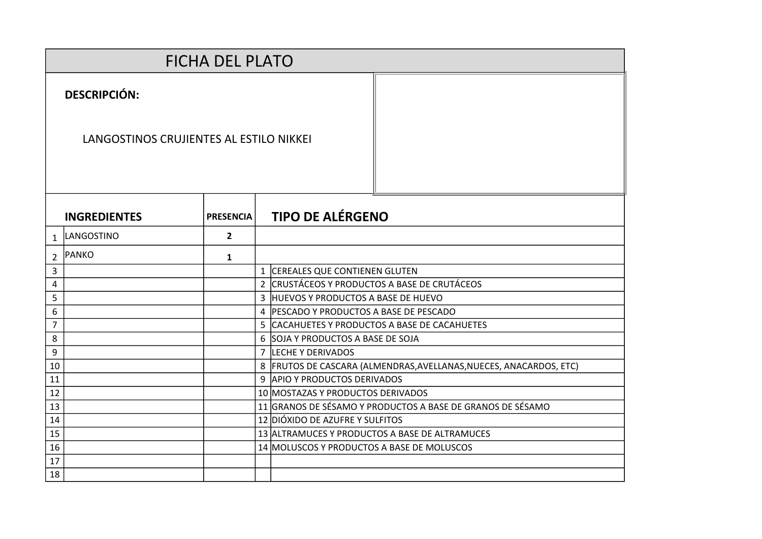|                |                                         | <b>FICHA DEL PLATO</b> |  |                                                                    |
|----------------|-----------------------------------------|------------------------|--|--------------------------------------------------------------------|
|                | <b>DESCRIPCIÓN:</b>                     |                        |  |                                                                    |
|                | LANGOSTINOS CRUJIENTES AL ESTILO NIKKEI |                        |  |                                                                    |
|                | <b>INGREDIENTES</b>                     | <b>PRESENCIA</b>       |  | <b>TIPO DE ALÉRGENO</b>                                            |
| $\mathbf{1}$   | LANGOSTINO                              | $\overline{2}$         |  |                                                                    |
| $\overline{2}$ | PANKO                                   | $\mathbf{1}$           |  |                                                                    |
| 3              |                                         |                        |  | 1 CEREALES QUE CONTIENEN GLUTEN                                    |
| 4              |                                         |                        |  | 2 CRUSTÁCEOS Y PRODUCTOS A BASE DE CRUTÁCEOS                       |
| 5              |                                         |                        |  | 3 HUEVOS Y PRODUCTOS A BASE DE HUEVO                               |
| 6              |                                         |                        |  | 4   PESCADO Y PRODUCTOS A BASE DE PESCADO                          |
| $\overline{7}$ |                                         |                        |  | 5 CACAHUETES Y PRODUCTOS A BASE DE CACAHUETES                      |
| 8              |                                         |                        |  | 6 SOJA Y PRODUCTOS A BASE DE SOJA                                  |
| 9              |                                         |                        |  | 7 LECHE Y DERIVADOS                                                |
| 10             |                                         |                        |  | 8 FRUTOS DE CASCARA (ALMENDRAS, AVELLANAS, NUECES, ANACARDOS, ETC) |
| 11             |                                         |                        |  | 9 APIO Y PRODUCTOS DERIVADOS                                       |
| 12             |                                         |                        |  | 10 MOSTAZAS Y PRODUCTOS DERIVADOS                                  |
| 13             |                                         |                        |  | 11 GRANOS DE SÉSAMO Y PRODUCTOS A BASE DE GRANOS DE SÉSAMO         |
| 14             |                                         |                        |  | 12 DIÓXIDO DE AZUFRE Y SULFITOS                                    |
| 15             |                                         |                        |  | 13 ALTRAMUCES Y PRODUCTOS A BASE DE ALTRAMUCES                     |
| 16             |                                         |                        |  | 14 MOLUSCOS Y PRODUCTOS A BASE DE MOLUSCOS                         |
| 17             |                                         |                        |  |                                                                    |
| 18             |                                         |                        |  |                                                                    |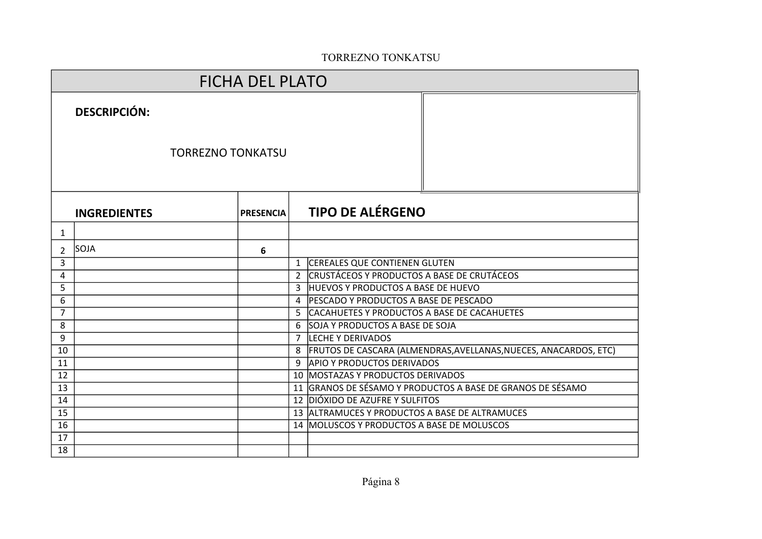## TORREZNO TONKATSU

|                            |                     | <b>FICHA DEL PLATO</b>   |               |                                                                                                                                 |
|----------------------------|---------------------|--------------------------|---------------|---------------------------------------------------------------------------------------------------------------------------------|
|                            | <b>DESCRIPCIÓN:</b> |                          |               |                                                                                                                                 |
|                            |                     | <b>TORREZNO TONKATSU</b> |               |                                                                                                                                 |
|                            | <b>INGREDIENTES</b> | <b>PRESENCIA</b>         |               | <b>TIPO DE ALÉRGENO</b>                                                                                                         |
| 1                          |                     |                          |               |                                                                                                                                 |
| 2                          | SOJA                | 6                        |               |                                                                                                                                 |
| 3                          |                     |                          | $\mathbf{1}$  | <b>CEREALES QUE CONTIENEN GLUTEN</b>                                                                                            |
| 4                          |                     |                          | $\mathcal{L}$ | ICRUSTÁCEOS Y PRODUCTOS A BASE DE CRUTÁCEOS                                                                                     |
| 5                          |                     |                          | $\mathbf{3}$  | HUEVOS Y PRODUCTOS A BASE DE HUEVO                                                                                              |
| 6                          |                     |                          | 4             | <b>IPESCADO Y PRODUCTOS A BASE DE PESCADO</b>                                                                                   |
| $\overline{7}$             |                     |                          |               | 5 CACAHUETES Y PRODUCTOS A BASE DE CACAHUETES                                                                                   |
| 8                          |                     |                          |               | 6 SOJA Y PRODUCTOS A BASE DE SOJA                                                                                               |
| 9                          |                     |                          | 7             | LECHE Y DERIVADOS                                                                                                               |
| 10                         |                     |                          |               | 8   FRUTOS DE CASCARA (ALMENDRAS, AVELLANAS, NUECES, ANACARDOS, ETC)                                                            |
| 11                         |                     |                          |               | 9 APIO Y PRODUCTOS DERIVADOS                                                                                                    |
| 12                         |                     |                          |               | 10   MOSTAZAS Y PRODUCTOS DERIVADOS                                                                                             |
| 13                         |                     |                          |               | 11 GRANOS DE SÉSAMO Y PRODUCTOS A BASE DE GRANOS DE SÉSAMO                                                                      |
|                            |                     |                          |               |                                                                                                                                 |
|                            |                     |                          |               |                                                                                                                                 |
|                            |                     |                          |               |                                                                                                                                 |
|                            |                     |                          |               |                                                                                                                                 |
| 14<br>15<br>16<br>17<br>18 |                     |                          |               | 12 DIÓXIDO DE AZUFRE Y SULFITOS<br>13 ALTRAMUCES Y PRODUCTOS A BASE DE ALTRAMUCES<br>14 MOLUSCOS Y PRODUCTOS A BASE DE MOLUSCOS |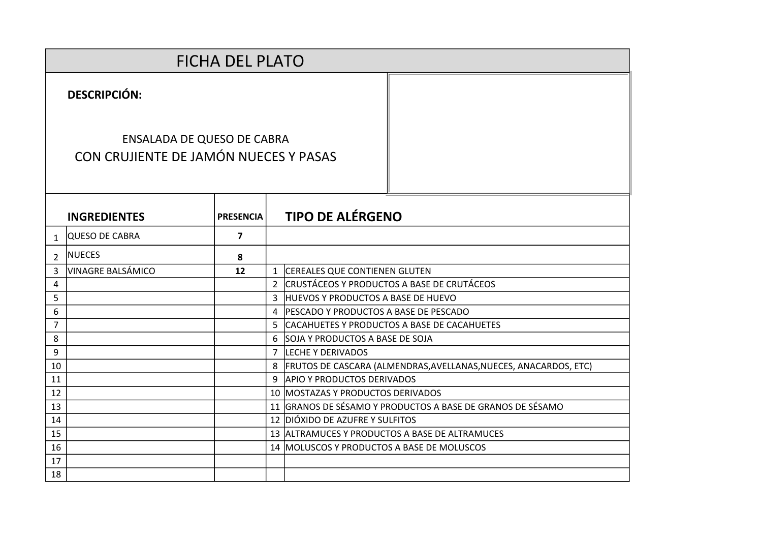|                |                                                                            | <b>FICHA DEL PLATO</b> |                |                                                                  |
|----------------|----------------------------------------------------------------------------|------------------------|----------------|------------------------------------------------------------------|
|                | <b>DESCRIPCIÓN:</b>                                                        |                        |                |                                                                  |
|                | <b>ENSALADA DE QUESO DE CABRA</b><br>CON CRUJIENTE DE JAMÓN NUECES Y PASAS |                        |                |                                                                  |
|                | <b>INGREDIENTES</b>                                                        | <b>PRESENCIA</b>       |                | <b>TIPO DE ALÉRGENO</b>                                          |
| $\mathbf 1$    | QUESO DE CABRA                                                             | $\overline{7}$         |                |                                                                  |
| $\mathcal{P}$  | <b>NUECES</b>                                                              | 8                      |                |                                                                  |
| 3              | VINAGRE BALSÁMICO                                                          | 12                     | $\mathbf{1}$   | <b>CEREALES QUE CONTIENEN GLUTEN</b>                             |
| 4              |                                                                            |                        | $\overline{2}$ | CRUSTÁCEOS Y PRODUCTOS A BASE DE CRUTÁCEOS                       |
| 5              |                                                                            |                        | 3              | HUEVOS Y PRODUCTOS A BASE DE HUEVO                               |
| 6              |                                                                            |                        | 4              | <b>PESCADO Y PRODUCTOS A BASE DE PESCADO</b>                     |
| $\overline{7}$ |                                                                            |                        | 5.             | CACAHUETES Y PRODUCTOS A BASE DE CACAHUETES                      |
| 8              |                                                                            |                        | 6              | SOJA Y PRODUCTOS A BASE DE SOJA                                  |
| 9              |                                                                            |                        | $\overline{7}$ | LECHE Y DERIVADOS                                                |
| 10             |                                                                            |                        | 8              | FRUTOS DE CASCARA (ALMENDRAS, AVELLANAS, NUECES, ANACARDOS, ETC) |
| 11             |                                                                            |                        | 9              | <b>APIO Y PRODUCTOS DERIVADOS</b>                                |
| 12             |                                                                            |                        |                | 10 MOSTAZAS Y PRODUCTOS DERIVADOS                                |
| 13             |                                                                            |                        |                | 11 GRANOS DE SÉSAMO Y PRODUCTOS A BASE DE GRANOS DE SÉSAMO       |
| 14             |                                                                            |                        |                | 12 DIÓXIDO DE AZUFRE Y SULFITOS                                  |
| 15             |                                                                            |                        |                | 13 ALTRAMUCES Y PRODUCTOS A BASE DE ALTRAMUCES                   |
| 16             |                                                                            |                        |                | 14 MOLUSCOS Y PRODUCTOS A BASE DE MOLUSCOS                       |
| 17             |                                                                            |                        |                |                                                                  |
| 18             |                                                                            |                        |                |                                                                  |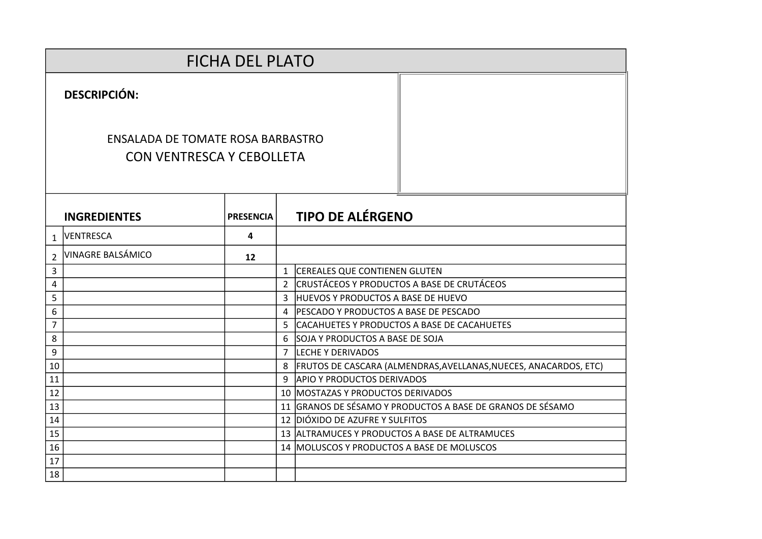|                | <b>FICHA DEL PLATO</b>                                                |                  |                |                                                                    |  |  |  |  |  |  |
|----------------|-----------------------------------------------------------------------|------------------|----------------|--------------------------------------------------------------------|--|--|--|--|--|--|
|                | <b>DESCRIPCIÓN:</b>                                                   |                  |                |                                                                    |  |  |  |  |  |  |
|                | ENSALADA DE TOMATE ROSA BARBASTRO<br><b>CON VENTRESCA Y CEBOLLETA</b> |                  |                |                                                                    |  |  |  |  |  |  |
|                | <b>INGREDIENTES</b>                                                   | <b>PRESENCIA</b> |                | <b>TIPO DE ALÉRGENO</b>                                            |  |  |  |  |  |  |
| $\mathbf{1}$   | VENTRESCA                                                             | 4                |                |                                                                    |  |  |  |  |  |  |
| $\overline{2}$ | <b>VINAGRE BALSÁMICO</b>                                              | 12               |                |                                                                    |  |  |  |  |  |  |
| 3              |                                                                       |                  |                | 1 CEREALES QUE CONTIENEN GLUTEN                                    |  |  |  |  |  |  |
| 4              |                                                                       |                  | $\overline{2}$ | ICRUSTÁCEOS Y PRODUCTOS A BASE DE CRUTÁCEOS                        |  |  |  |  |  |  |
| 5              |                                                                       |                  |                | 3 HUEVOS Y PRODUCTOS A BASE DE HUEVO                               |  |  |  |  |  |  |
| 6              |                                                                       |                  |                | 4 PESCADO Y PRODUCTOS A BASE DE PESCADO                            |  |  |  |  |  |  |
| $\overline{7}$ |                                                                       |                  |                | 5 CACAHUETES Y PRODUCTOS A BASE DE CACAHUETES                      |  |  |  |  |  |  |
| 8              |                                                                       |                  |                | 6 SOJA Y PRODUCTOS A BASE DE SOJA                                  |  |  |  |  |  |  |
| 9              |                                                                       |                  |                | 7 LECHE Y DERIVADOS                                                |  |  |  |  |  |  |
| 10             |                                                                       |                  |                | 8 FRUTOS DE CASCARA (ALMENDRAS, AVELLANAS, NUECES, ANACARDOS, ETC) |  |  |  |  |  |  |
| 11             |                                                                       |                  | 9.             | <b>APIO Y PRODUCTOS DERIVADOS</b>                                  |  |  |  |  |  |  |
| 12             |                                                                       |                  |                | 10 MOSTAZAS Y PRODUCTOS DERIVADOS                                  |  |  |  |  |  |  |
| 13             |                                                                       |                  |                | 11 GRANOS DE SÉSAMO Y PRODUCTOS A BASE DE GRANOS DE SÉSAMO         |  |  |  |  |  |  |
| 14             |                                                                       |                  |                | 12 DIÓXIDO DE AZUFRE Y SULFITOS                                    |  |  |  |  |  |  |
| 15             |                                                                       |                  |                | 13 ALTRAMUCES Y PRODUCTOS A BASE DE ALTRAMUCES                     |  |  |  |  |  |  |
| 16             |                                                                       |                  |                | 14 MOLUSCOS Y PRODUCTOS A BASE DE MOLUSCOS                         |  |  |  |  |  |  |
| 17             |                                                                       |                  |                |                                                                    |  |  |  |  |  |  |
| 18             |                                                                       |                  |                |                                                                    |  |  |  |  |  |  |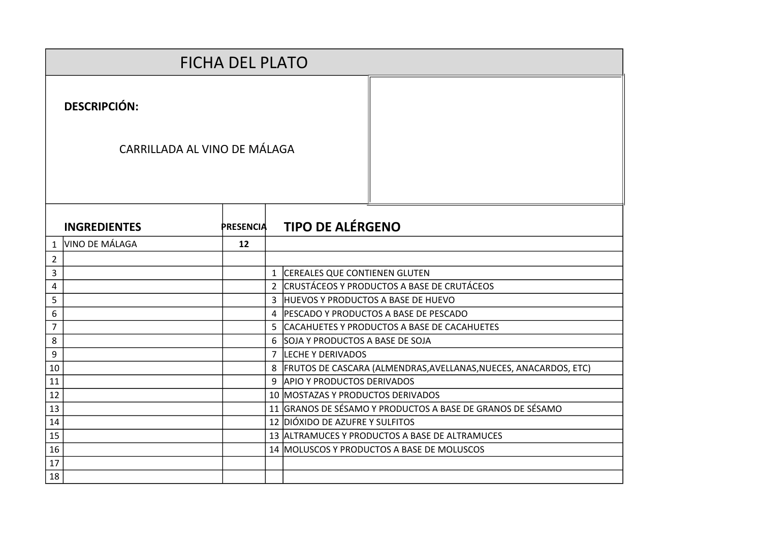|                | <b>FICHA DEL PLATO</b>       |                  |  |                                                                    |  |  |  |  |
|----------------|------------------------------|------------------|--|--------------------------------------------------------------------|--|--|--|--|
|                | <b>DESCRIPCIÓN:</b>          |                  |  |                                                                    |  |  |  |  |
|                | CARRILLADA AL VINO DE MÁLAGA |                  |  |                                                                    |  |  |  |  |
|                | <b>INGREDIENTES</b>          | <b>PRESENCIA</b> |  | <b>TIPO DE ALÉRGENO</b>                                            |  |  |  |  |
| 1              | VINO DE MÁLAGA               | 12               |  |                                                                    |  |  |  |  |
| $\overline{2}$ |                              |                  |  |                                                                    |  |  |  |  |
| 3              |                              |                  |  | 1 CEREALES QUE CONTIENEN GLUTEN                                    |  |  |  |  |
| 4              |                              |                  |  | 2 CRUSTÁCEOS Y PRODUCTOS A BASE DE CRUTÁCEOS                       |  |  |  |  |
| 5              |                              |                  |  | 3 HUEVOS Y PRODUCTOS A BASE DE HUEVO                               |  |  |  |  |
| 6              |                              |                  |  | 4 PESCADO Y PRODUCTOS A BASE DE PESCADO                            |  |  |  |  |
| $\overline{7}$ |                              |                  |  | 5 CACAHUETES Y PRODUCTOS A BASE DE CACAHUETES                      |  |  |  |  |
| 8              |                              |                  |  | 6 SOJA Y PRODUCTOS A BASE DE SOJA                                  |  |  |  |  |
| 9              |                              |                  |  | 7 LECHE Y DERIVADOS                                                |  |  |  |  |
| 10             |                              |                  |  | 8 FRUTOS DE CASCARA (ALMENDRAS, AVELLANAS, NUECES, ANACARDOS, ETC) |  |  |  |  |
| 11             |                              |                  |  | 9 APIO Y PRODUCTOS DERIVADOS                                       |  |  |  |  |
| 12             |                              |                  |  | 10   MOSTAZAS Y PRODUCTOS DERIVADOS                                |  |  |  |  |
| 13             |                              |                  |  | 11 GRANOS DE SÉSAMO Y PRODUCTOS A BASE DE GRANOS DE SÉSAMO         |  |  |  |  |
| 14             |                              |                  |  | 12 DIÓXIDO DE AZUFRE Y SULFITOS                                    |  |  |  |  |
| 15             |                              |                  |  | 13 ALTRAMUCES Y PRODUCTOS A BASE DE ALTRAMUCES                     |  |  |  |  |
| 16             |                              |                  |  | 14   MOLUSCOS Y PRODUCTOS A BASE DE MOLUSCOS                       |  |  |  |  |
| 17             |                              |                  |  |                                                                    |  |  |  |  |
| 18             |                              |                  |  |                                                                    |  |  |  |  |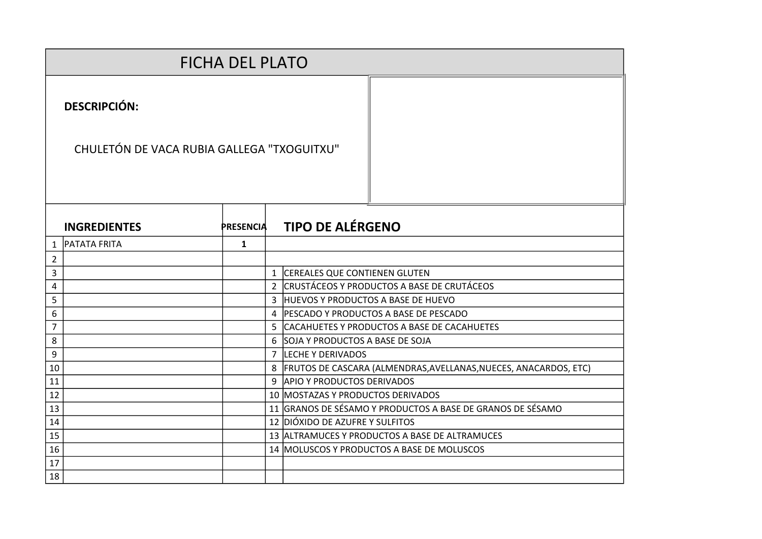|                |                                            | <b>FICHA DEL PLATO</b> |  |                                                                      |
|----------------|--------------------------------------------|------------------------|--|----------------------------------------------------------------------|
|                | <b>DESCRIPCIÓN:</b>                        |                        |  |                                                                      |
|                | CHULETÓN DE VACA RUBIA GALLEGA "TXOGUITXU" |                        |  |                                                                      |
|                | <b>INGREDIENTES</b>                        | <b>PRESENCIA</b>       |  | <b>TIPO DE ALÉRGENO</b>                                              |
| 1              | <b>PATATA FRITA</b>                        | $\mathbf{1}$           |  |                                                                      |
| $\overline{2}$ |                                            |                        |  |                                                                      |
| 3              |                                            |                        |  | 1 CEREALES QUE CONTIENEN GLUTEN                                      |
| 4              |                                            |                        |  | 2 CRUSTÁCEOS Y PRODUCTOS A BASE DE CRUTÁCEOS                         |
| 5              |                                            |                        |  | 3 HUEVOS Y PRODUCTOS A BASE DE HUEVO                                 |
| 6              |                                            |                        |  | 4 PESCADO Y PRODUCTOS A BASE DE PESCADO                              |
| $\overline{7}$ |                                            |                        |  | 5 CACAHUETES Y PRODUCTOS A BASE DE CACAHUETES                        |
| 8              |                                            |                        |  | 6 SOJA Y PRODUCTOS A BASE DE SOJA                                    |
| 9              |                                            |                        |  | 7 LECHE Y DERIVADOS                                                  |
| 10             |                                            |                        |  | 8   FRUTOS DE CASCARA (ALMENDRAS, AVELLANAS, NUECES, ANACARDOS, ETC) |
| 11             |                                            |                        |  | 9 APIO Y PRODUCTOS DERIVADOS                                         |
| 12             |                                            |                        |  | 10 MOSTAZAS Y PRODUCTOS DERIVADOS                                    |
| 13             |                                            |                        |  | 11 GRANOS DE SÉSAMO Y PRODUCTOS A BASE DE GRANOS DE SÉSAMO           |
| 14             |                                            |                        |  | 12 DIÓXIDO DE AZUFRE Y SULFITOS                                      |
| 15             |                                            |                        |  | 13 ALTRAMUCES Y PRODUCTOS A BASE DE ALTRAMUCES                       |
| 16             |                                            |                        |  | 14 MOLUSCOS Y PRODUCTOS A BASE DE MOLUSCOS                           |
| 17             |                                            |                        |  |                                                                      |
| 18             |                                            |                        |  |                                                                      |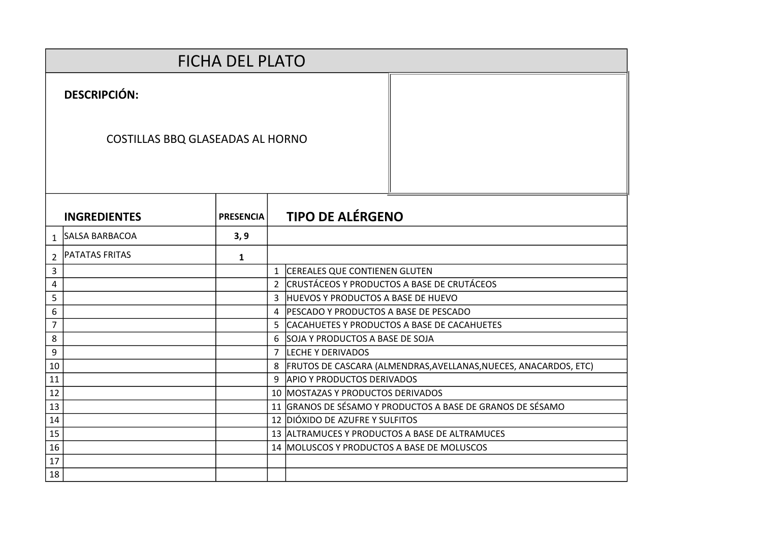|                |                                         | <b>FICHA DEL PLATO</b> |  |                                                                    |
|----------------|-----------------------------------------|------------------------|--|--------------------------------------------------------------------|
|                | <b>DESCRIPCIÓN:</b>                     |                        |  |                                                                    |
|                | <b>COSTILLAS BBQ GLASEADAS AL HORNO</b> |                        |  |                                                                    |
|                | <b>INGREDIENTES</b>                     | <b>PRESENCIA</b>       |  | <b>TIPO DE ALÉRGENO</b>                                            |
| $\mathbf{1}$   | SALSA BARBACOA                          | 3, 9                   |  |                                                                    |
| $\overline{2}$ | <b>PATATAS FRITAS</b>                   | $\mathbf{1}$           |  |                                                                    |
| 3              |                                         |                        |  | 1 CEREALES QUE CONTIENEN GLUTEN                                    |
| 4              |                                         |                        |  | 2 CRUSTÁCEOS Y PRODUCTOS A BASE DE CRUTÁCEOS                       |
| 5              |                                         |                        |  | 3 HUEVOS Y PRODUCTOS A BASE DE HUEVO                               |
| 6              |                                         |                        |  | 4   PESCADO Y PRODUCTOS A BASE DE PESCADO                          |
| $\overline{7}$ |                                         |                        |  | 5 CACAHUETES Y PRODUCTOS A BASE DE CACAHUETES                      |
| 8              |                                         |                        |  | 6 SOJA Y PRODUCTOS A BASE DE SOJA                                  |
| 9              |                                         |                        |  | 7 LECHE Y DERIVADOS                                                |
| 10             |                                         |                        |  | 8 FRUTOS DE CASCARA (ALMENDRAS, AVELLANAS, NUECES, ANACARDOS, ETC) |
| 11             |                                         |                        |  | 9 APIO Y PRODUCTOS DERIVADOS                                       |
| 12             |                                         |                        |  | 10   MOSTAZAS Y PRODUCTOS DERIVADOS                                |
| 13             |                                         |                        |  | 11 GRANOS DE SÉSAMO Y PRODUCTOS A BASE DE GRANOS DE SÉSAMO         |
| 14             |                                         |                        |  | 12 DIÓXIDO DE AZUFRE Y SULFITOS                                    |
| 15             |                                         |                        |  | 13 ALTRAMUCES Y PRODUCTOS A BASE DE ALTRAMUCES                     |
| 16             |                                         |                        |  | 14 MOLUSCOS Y PRODUCTOS A BASE DE MOLUSCOS                         |
| 17             |                                         |                        |  |                                                                    |
| 18             |                                         |                        |  |                                                                    |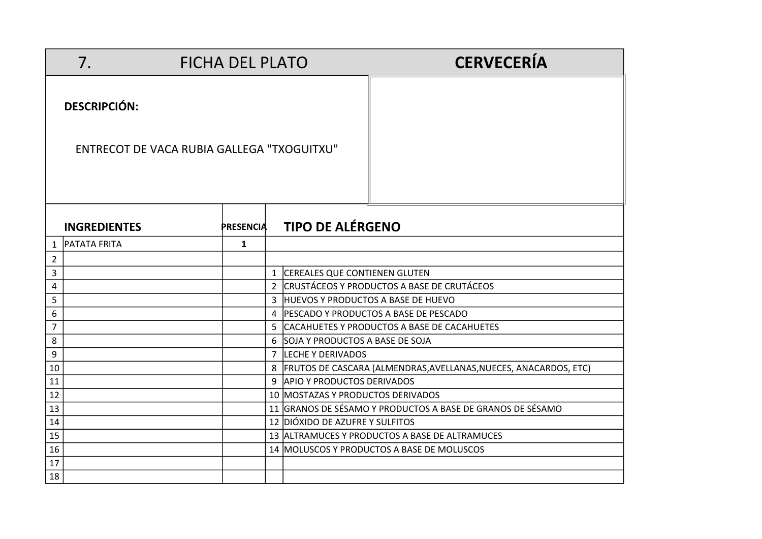|                | 7.                                         | <b>FICHA DEL PLATO</b> |                |                                      | <b>CERVECERÍA</b>                                                  |
|----------------|--------------------------------------------|------------------------|----------------|--------------------------------------|--------------------------------------------------------------------|
|                | <b>DESCRIPCIÓN:</b>                        |                        |                |                                      |                                                                    |
|                | ENTRECOT DE VACA RUBIA GALLEGA "TXOGUITXU" |                        |                |                                      |                                                                    |
|                | <b>INGREDIENTES</b>                        | <b>PRESENCIA</b>       |                | <b>TIPO DE ALÉRGENO</b>              |                                                                    |
| 1              | <b>PATATA FRITA</b>                        | 1                      |                |                                      |                                                                    |
| $\overline{2}$ |                                            |                        |                |                                      |                                                                    |
| 3              |                                            |                        |                | 1 CEREALES QUE CONTIENEN GLUTEN      |                                                                    |
| 4              |                                            |                        | $\overline{2}$ |                                      | CRUSTÁCEOS Y PRODUCTOS A BASE DE CRUTÁCEOS                         |
| 5              |                                            |                        |                | 3 HUEVOS Y PRODUCTOS A BASE DE HUEVO |                                                                    |
| 6              |                                            |                        |                |                                      | 4 PESCADO Y PRODUCTOS A BASE DE PESCADO                            |
| $\overline{7}$ |                                            |                        |                |                                      | 5 CACAHUETES Y PRODUCTOS A BASE DE CACAHUETES                      |
| 8              |                                            |                        | 6              | SOJA Y PRODUCTOS A BASE DE SOJA      |                                                                    |
| 9              |                                            |                        |                | 7 LECHE Y DERIVADOS                  |                                                                    |
| 10             |                                            |                        |                |                                      | 8 FRUTOS DE CASCARA (ALMENDRAS, AVELLANAS, NUECES, ANACARDOS, ETC) |
| 11             |                                            |                        |                | 9 APIO Y PRODUCTOS DERIVADOS         |                                                                    |
| 12             |                                            |                        |                | 10 MOSTAZAS Y PRODUCTOS DERIVADOS    |                                                                    |
| 13             |                                            |                        |                |                                      | 11 GRANOS DE SÉSAMO Y PRODUCTOS A BASE DE GRANOS DE SÉSAMO         |
| 14             |                                            |                        |                | 12 DIÓXIDO DE AZUFRE Y SULFITOS      |                                                                    |
| 15             |                                            |                        |                |                                      | 13 ALTRAMUCES Y PRODUCTOS A BASE DE ALTRAMUCES                     |
| 16             |                                            |                        |                |                                      | 14 MOLUSCOS Y PRODUCTOS A BASE DE MOLUSCOS                         |
| 17             |                                            |                        |                |                                      |                                                                    |
| 18             |                                            |                        |                |                                      |                                                                    |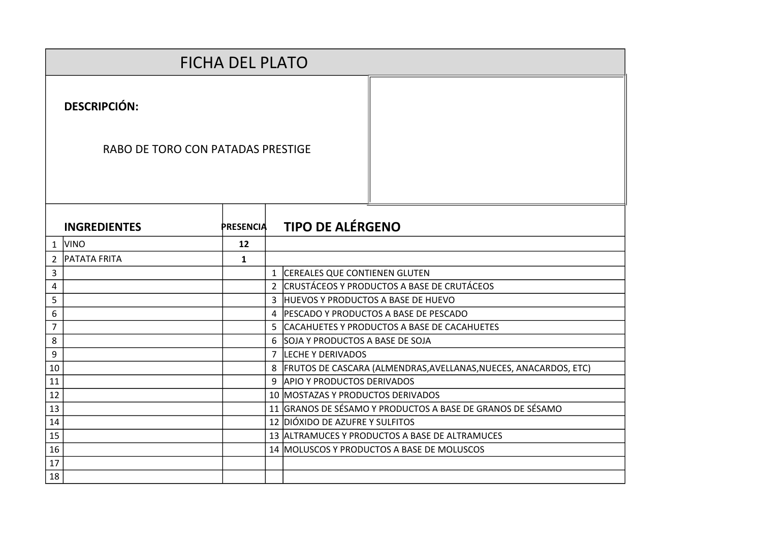|                |                                   | <b>FICHA DEL PLATO</b> |                |                                                                    |
|----------------|-----------------------------------|------------------------|----------------|--------------------------------------------------------------------|
|                | <b>DESCRIPCIÓN:</b>               |                        |                |                                                                    |
|                | RABO DE TORO CON PATADAS PRESTIGE |                        |                |                                                                    |
|                | <b>INGREDIENTES</b>               | <b>PRESENCIA</b>       |                | <b>TIPO DE ALÉRGENO</b>                                            |
|                | 1 VINO                            | 12                     |                |                                                                    |
| $\overline{2}$ | <b>PATATA FRITA</b>               | $\mathbf{1}$           |                |                                                                    |
| 3              |                                   |                        | $\mathbf{1}$   | <b>CEREALES QUE CONTIENEN GLUTEN</b>                               |
| 4              |                                   |                        | $\overline{2}$ | CRUSTÁCEOS Y PRODUCTOS A BASE DE CRUTÁCEOS                         |
| 5              |                                   |                        |                | 3 HUEVOS Y PRODUCTOS A BASE DE HUEVO                               |
| 6              |                                   |                        |                | 4   PESCADO Y PRODUCTOS A BASE DE PESCADO                          |
| 7              |                                   |                        |                | 5 CACAHUETES Y PRODUCTOS A BASE DE CACAHUETES                      |
| 8              |                                   |                        |                | 6 SOJA Y PRODUCTOS A BASE DE SOJA                                  |
| 9              |                                   |                        |                | 7 LECHE Y DERIVADOS                                                |
| 10             |                                   |                        |                | 8 FRUTOS DE CASCARA (ALMENDRAS, AVELLANAS, NUECES, ANACARDOS, ETC) |
| 11             |                                   |                        |                | 9 APIO Y PRODUCTOS DERIVADOS                                       |
| 12             |                                   |                        |                | 10 MOSTAZAS Y PRODUCTOS DERIVADOS                                  |
| 13             |                                   |                        |                | 11 GRANOS DE SÉSAMO Y PRODUCTOS A BASE DE GRANOS DE SÉSAMO         |
| 14             |                                   |                        |                | 12 DIÓXIDO DE AZUFRE Y SULFITOS                                    |
| 15             |                                   |                        |                | 13 ALTRAMUCES Y PRODUCTOS A BASE DE ALTRAMUCES                     |
| 16             |                                   |                        |                | 14 MOLUSCOS Y PRODUCTOS A BASE DE MOLUSCOS                         |
| 17             |                                   |                        |                |                                                                    |
| 18             |                                   |                        |                |                                                                    |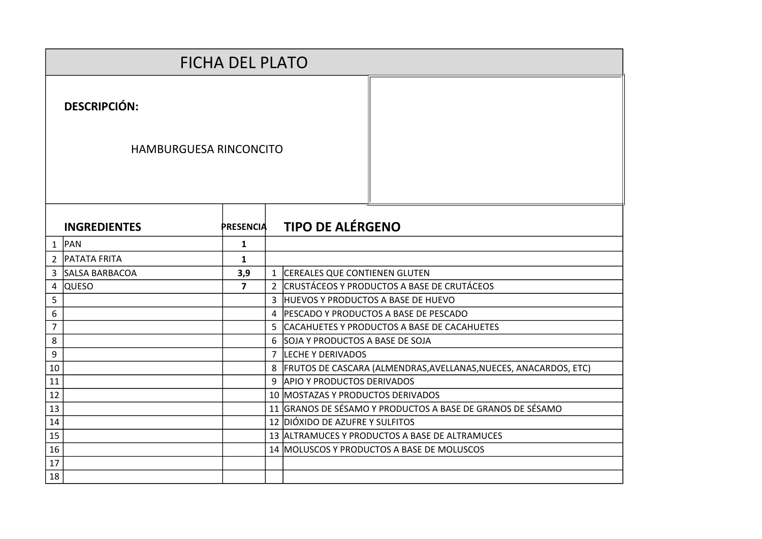|                | <b>FICHA DEL PLATO</b>        |                         |  |                                                                      |
|----------------|-------------------------------|-------------------------|--|----------------------------------------------------------------------|
|                | <b>DESCRIPCIÓN:</b>           |                         |  |                                                                      |
|                | <b>HAMBURGUESA RINCONCITO</b> |                         |  |                                                                      |
|                | <b>INGREDIENTES</b>           | <b>PRESENCIA</b>        |  | <b>TIPO DE ALÉRGENO</b>                                              |
| $\mathbf{1}$   | PAN                           | $\mathbf{1}$            |  |                                                                      |
| $\overline{2}$ | <b>PATATA FRITA</b>           | 1                       |  |                                                                      |
| 3              | <b>SALSA BARBACOA</b>         | 3,9                     |  | 1 CEREALES QUE CONTIENEN GLUTEN                                      |
| 4              | <b>QUESO</b>                  | $\overline{\mathbf{z}}$ |  | 2 CRUSTÁCEOS Y PRODUCTOS A BASE DE CRUTÁCEOS                         |
| 5              |                               |                         |  | 3 HUEVOS Y PRODUCTOS A BASE DE HUEVO                                 |
| 6              |                               |                         |  | 4   PESCADO Y PRODUCTOS A BASE DE PESCADO                            |
| 7              |                               |                         |  | 5 CACAHUETES Y PRODUCTOS A BASE DE CACAHUETES                        |
| 8              |                               |                         |  | 6 SOJA Y PRODUCTOS A BASE DE SOJA                                    |
| 9              |                               |                         |  | 7 LECHE Y DERIVADOS                                                  |
| 10             |                               |                         |  | 8   FRUTOS DE CASCARA (ALMENDRAS, AVELLANAS, NUECES, ANACARDOS, ETC) |
| 11             |                               |                         |  | 9 APIO Y PRODUCTOS DERIVADOS                                         |
| 12             |                               |                         |  | 10 MOSTAZAS Y PRODUCTOS DERIVADOS                                    |
| 13             |                               |                         |  | 11 GRANOS DE SÉSAMO Y PRODUCTOS A BASE DE GRANOS DE SÉSAMO           |
| 14             |                               |                         |  | 12 DIÓXIDO DE AZUFRE Y SULFITOS                                      |
| 15             |                               |                         |  | 13 ALTRAMUCES Y PRODUCTOS A BASE DE ALTRAMUCES                       |
| 16             |                               |                         |  | 14 MOLUSCOS Y PRODUCTOS A BASE DE MOLUSCOS                           |
| 17             |                               |                         |  |                                                                      |
| 18             |                               |                         |  |                                                                      |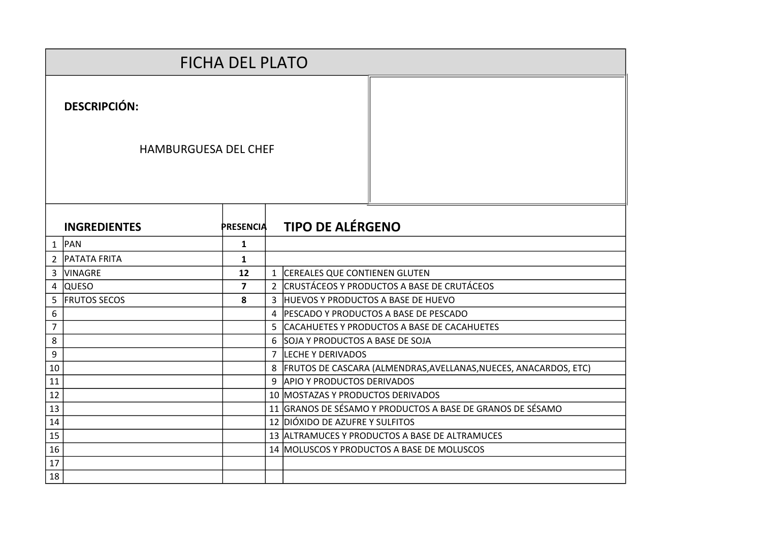|                |                                                    | <b>FICHA DEL PLATO</b> |                |                                                                  |
|----------------|----------------------------------------------------|------------------------|----------------|------------------------------------------------------------------|
|                | <b>DESCRIPCIÓN:</b><br><b>HAMBURGUESA DEL CHEF</b> |                        |                |                                                                  |
|                |                                                    |                        |                |                                                                  |
|                | <b>INGREDIENTES</b>                                | <b>PRESENCIA</b>       |                | <b>TIPO DE ALÉRGENO</b>                                          |
|                | $1$ PAN                                            | $\mathbf{1}$           |                |                                                                  |
|                | 2 PATATA FRITA                                     | $\mathbf{1}$           |                |                                                                  |
| 3              | <b>VINAGRE</b>                                     | 12                     | $\mathbf{1}$   | <b>CEREALES QUE CONTIENEN GLUTEN</b>                             |
| 4              | <b>QUESO</b>                                       | $\overline{7}$         | $\overline{2}$ | CRUSTÁCEOS Y PRODUCTOS A BASE DE CRUTÁCEOS                       |
| 5              | <b>FRUTOS SECOS</b>                                | 8                      | 3              | HUEVOS Y PRODUCTOS A BASE DE HUEVO                               |
| 6              |                                                    |                        | 4              | <b>PESCADO Y PRODUCTOS A BASE DE PESCADO</b>                     |
| $\overline{7}$ |                                                    |                        | 5              | CACAHUETES Y PRODUCTOS A BASE DE CACAHUETES                      |
| 8              |                                                    |                        | 6              | SOJA Y PRODUCTOS A BASE DE SOJA                                  |
| 9              |                                                    |                        | $\overline{7}$ | <b>LECHE Y DERIVADOS</b>                                         |
| 10             |                                                    |                        | 8              | FRUTOS DE CASCARA (ALMENDRAS, AVELLANAS, NUECES, ANACARDOS, ETC) |
| 11             |                                                    |                        |                | 9 APIO Y PRODUCTOS DERIVADOS                                     |
| 12             |                                                    |                        |                | 10 MOSTAZAS Y PRODUCTOS DERIVADOS                                |
| 13             |                                                    |                        |                | 11 GRANOS DE SÉSAMO Y PRODUCTOS A BASE DE GRANOS DE SÉSAMO       |
| 14             |                                                    |                        |                | 12 DIÓXIDO DE AZUFRE Y SULFITOS                                  |
| 15             |                                                    |                        |                | 13 ALTRAMUCES Y PRODUCTOS A BASE DE ALTRAMUCES                   |
| 16             |                                                    |                        |                | 14 MOLUSCOS Y PRODUCTOS A BASE DE MOLUSCOS                       |
| 17             |                                                    |                        |                |                                                                  |
| 18             |                                                    |                        |                |                                                                  |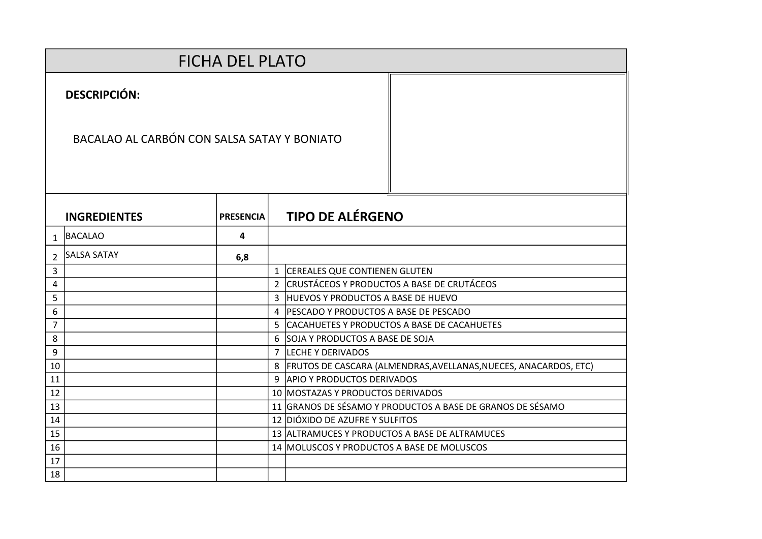|                |                                             | <b>FICHA DEL PLATO</b> |   |                                                                      |
|----------------|---------------------------------------------|------------------------|---|----------------------------------------------------------------------|
|                | <b>DESCRIPCIÓN:</b>                         |                        |   |                                                                      |
|                | BACALAO AL CARBÓN CON SALSA SATAY Y BONIATO |                        |   |                                                                      |
|                | <b>INGREDIENTES</b>                         | <b>PRESENCIA</b>       |   | <b>TIPO DE ALÉRGENO</b>                                              |
| $\mathbf{1}$   | BACALAO                                     | 4                      |   |                                                                      |
| $\overline{2}$ | <b>SALSA SATAY</b>                          | 6,8                    |   |                                                                      |
| 3              |                                             |                        |   | 1 CEREALES QUE CONTIENEN GLUTEN                                      |
| 4              |                                             |                        | 2 | CRUSTÁCEOS Y PRODUCTOS A BASE DE CRUTÁCEOS                           |
| 5              |                                             |                        |   | 3 HUEVOS Y PRODUCTOS A BASE DE HUEVO                                 |
| 6              |                                             |                        |   | 4   PESCADO Y PRODUCTOS A BASE DE PESCADO                            |
| $\overline{7}$ |                                             |                        |   | 5 CACAHUETES Y PRODUCTOS A BASE DE CACAHUETES                        |
| 8              |                                             |                        |   | 6 SOJA Y PRODUCTOS A BASE DE SOJA                                    |
| 9              |                                             |                        |   | 7 LECHE Y DERIVADOS                                                  |
| 10             |                                             |                        |   | 8   FRUTOS DE CASCARA (ALMENDRAS, AVELLANAS, NUECES, ANACARDOS, ETC) |
| 11             |                                             |                        |   | 9 APIO Y PRODUCTOS DERIVADOS                                         |
| 12             |                                             |                        |   | 10 MOSTAZAS Y PRODUCTOS DERIVADOS                                    |
| 13             |                                             |                        |   | 11 GRANOS DE SÉSAMO Y PRODUCTOS A BASE DE GRANOS DE SÉSAMO           |
| 14             |                                             |                        |   | 12 DIÓXIDO DE AZUFRE Y SULFITOS                                      |
| 15             |                                             |                        |   | 13 ALTRAMUCES Y PRODUCTOS A BASE DE ALTRAMUCES                       |
| 16             |                                             |                        |   | 14 MOLUSCOS Y PRODUCTOS A BASE DE MOLUSCOS                           |
| 17             |                                             |                        |   |                                                                      |
| 18             |                                             |                        |   |                                                                      |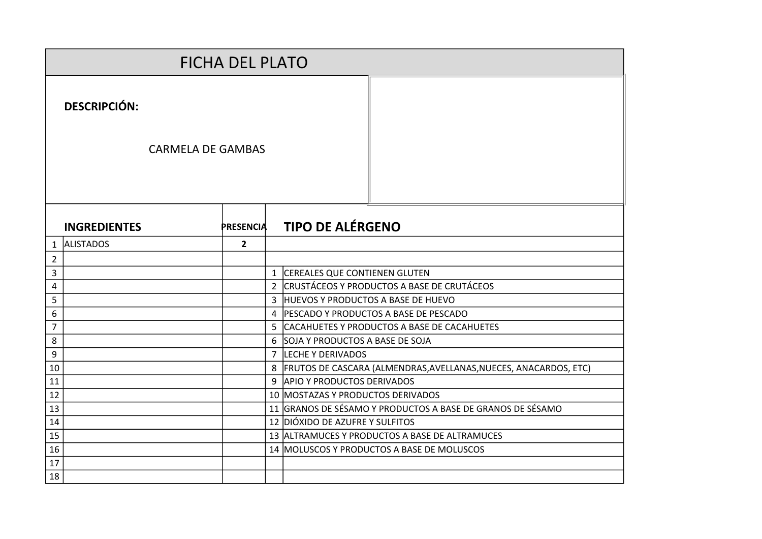|                |                          | <b>FICHA DEL PLATO</b> |               |                                                                      |
|----------------|--------------------------|------------------------|---------------|----------------------------------------------------------------------|
|                | <b>DESCRIPCIÓN:</b>      |                        |               |                                                                      |
|                | <b>CARMELA DE GAMBAS</b> |                        |               |                                                                      |
|                | <b>INGREDIENTES</b>      | <b>PRESENCIA</b>       |               | <b>TIPO DE ALÉRGENO</b>                                              |
| 1              | <b>ALISTADOS</b>         | $\mathbf{2}$           |               |                                                                      |
| 2              |                          |                        |               |                                                                      |
| 3              |                          |                        |               | 1 CEREALES QUE CONTIENEN GLUTEN                                      |
| 4              |                          |                        | $\mathcal{L}$ | ICRUSTÁCEOS Y PRODUCTOS A BASE DE CRUTÁCEOS                          |
| 5              |                          |                        |               | 3 HUEVOS Y PRODUCTOS A BASE DE HUEVO                                 |
| 6              |                          |                        |               | 4 PESCADO Y PRODUCTOS A BASE DE PESCADO                              |
| $\overline{7}$ |                          |                        |               | 5 CACAHUETES Y PRODUCTOS A BASE DE CACAHUETES                        |
| 8              |                          |                        |               | 6 SOJA Y PRODUCTOS A BASE DE SOJA                                    |
| 9              |                          |                        |               | 7 LECHE Y DERIVADOS                                                  |
| 10             |                          |                        |               | 8   FRUTOS DE CASCARA (ALMENDRAS, AVELLANAS, NUECES, ANACARDOS, ETC) |
| 11             |                          |                        |               | 9 APIO Y PRODUCTOS DERIVADOS                                         |
| 12             |                          |                        |               | 10 MOSTAZAS Y PRODUCTOS DERIVADOS                                    |
| 13             |                          |                        |               | 11 GRANOS DE SÉSAMO Y PRODUCTOS A BASE DE GRANOS DE SÉSAMO           |
| 14             |                          |                        |               | 12 DIÓXIDO DE AZUFRE Y SULFITOS                                      |
| 15             |                          |                        |               | 13 ALTRAMUCES Y PRODUCTOS A BASE DE ALTRAMUCES                       |
| 16             |                          |                        |               | 14 MOLUSCOS Y PRODUCTOS A BASE DE MOLUSCOS                           |
| 17             |                          |                        |               |                                                                      |
| 18             |                          |                        |               |                                                                      |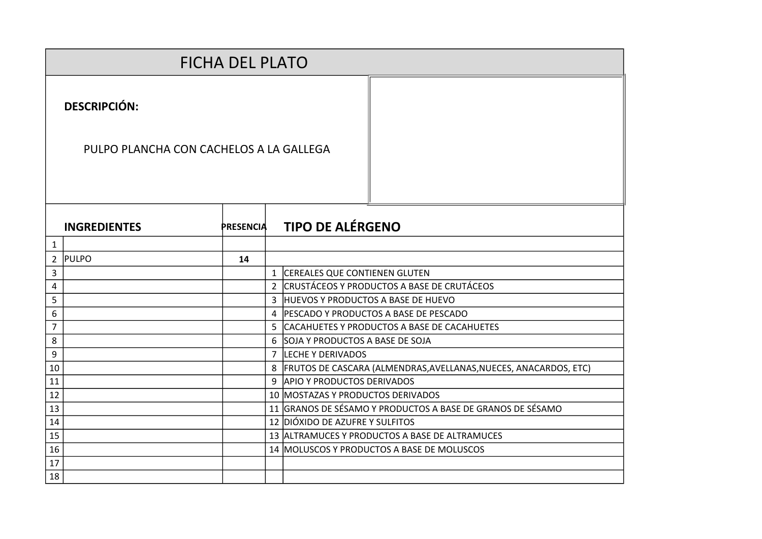|    |                                         | <b>FICHA DEL PLATO</b> |                |                                                                      |
|----|-----------------------------------------|------------------------|----------------|----------------------------------------------------------------------|
|    | <b>DESCRIPCIÓN:</b>                     |                        |                |                                                                      |
|    | PULPO PLANCHA CON CACHELOS A LA GALLEGA |                        |                |                                                                      |
|    | <b>INGREDIENTES</b>                     | <b>PRESENCIA</b>       |                | <b>TIPO DE ALÉRGENO</b>                                              |
| 1  |                                         |                        |                |                                                                      |
| 2  | <b>PULPO</b>                            | 14                     |                |                                                                      |
| 3  |                                         |                        | $\mathbf{1}$   | CEREALES QUE CONTIENEN GLUTEN                                        |
| 4  |                                         |                        | $\overline{2}$ | CRUSTÁCEOS Y PRODUCTOS A BASE DE CRUTÁCEOS                           |
| 5  |                                         |                        |                | 3 HUEVOS Y PRODUCTOS A BASE DE HUEVO                                 |
| 6  |                                         |                        |                | 4 PESCADO Y PRODUCTOS A BASE DE PESCADO                              |
| 7  |                                         |                        |                | 5 CACAHUETES Y PRODUCTOS A BASE DE CACAHUETES                        |
| 8  |                                         |                        |                | 6 SOJA Y PRODUCTOS A BASE DE SOJA                                    |
| 9  |                                         |                        |                | 7 LECHE Y DERIVADOS                                                  |
| 10 |                                         |                        |                | 8   FRUTOS DE CASCARA (ALMENDRAS, AVELLANAS, NUECES, ANACARDOS, ETC) |
| 11 |                                         |                        |                | 9 APIO Y PRODUCTOS DERIVADOS                                         |
| 12 |                                         |                        |                | 10 MOSTAZAS Y PRODUCTOS DERIVADOS                                    |
| 13 |                                         |                        |                | 11 GRANOS DE SÉSAMO Y PRODUCTOS A BASE DE GRANOS DE SÉSAMO           |
| 14 |                                         |                        |                | 12 DIÓXIDO DE AZUFRE Y SULFITOS                                      |
| 15 |                                         |                        |                | 13 ALTRAMUCES Y PRODUCTOS A BASE DE ALTRAMUCES                       |
| 16 |                                         |                        |                | 14 MOLUSCOS Y PRODUCTOS A BASE DE MOLUSCOS                           |
| 17 |                                         |                        |                |                                                                      |
| 18 |                                         |                        |                |                                                                      |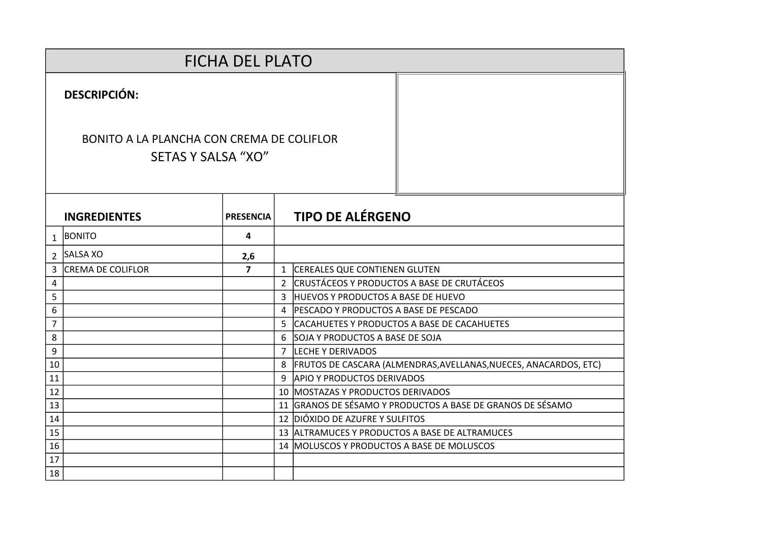| <b>FICHA DEL PLATO</b> |                                                                        |                  |  |                                                                      |  |  |  |  |
|------------------------|------------------------------------------------------------------------|------------------|--|----------------------------------------------------------------------|--|--|--|--|
|                        | <b>DESCRIPCIÓN:</b>                                                    |                  |  |                                                                      |  |  |  |  |
|                        | BONITO A LA PLANCHA CON CREMA DE COLIFLOR<br><b>SETAS Y SALSA "XO"</b> |                  |  |                                                                      |  |  |  |  |
|                        | <b>INGREDIENTES</b>                                                    | <b>PRESENCIA</b> |  | <b>TIPO DE ALÉRGENO</b>                                              |  |  |  |  |
| $\mathbf{1}$           | BONITO                                                                 | 4                |  |                                                                      |  |  |  |  |
| $\mathcal{L}$          | SALSA XO                                                               | 2,6              |  |                                                                      |  |  |  |  |
| 3                      | <b>CREMA DE COLIFLOR</b>                                               | $\overline{7}$   |  | 1 CEREALES QUE CONTIENEN GLUTEN                                      |  |  |  |  |
| 4                      |                                                                        |                  |  | 2 CRUSTÁCEOS Y PRODUCTOS A BASE DE CRUTÁCEOS                         |  |  |  |  |
| 5                      |                                                                        |                  |  | 3 HUEVOS Y PRODUCTOS A BASE DE HUEVO                                 |  |  |  |  |
| 6                      |                                                                        |                  |  | 4   PESCADO Y PRODUCTOS A BASE DE PESCADO                            |  |  |  |  |
| $\overline{7}$         |                                                                        |                  |  | 5 CACAHUETES Y PRODUCTOS A BASE DE CACAHUETES                        |  |  |  |  |
| 8                      |                                                                        |                  |  | 6 SOJA Y PRODUCTOS A BASE DE SOJA                                    |  |  |  |  |
| 9                      |                                                                        |                  |  | 7 LECHE Y DERIVADOS                                                  |  |  |  |  |
| 10                     |                                                                        |                  |  | 8   FRUTOS DE CASCARA (ALMENDRAS, AVELLANAS, NUECES, ANACARDOS, ETC) |  |  |  |  |
| 11                     |                                                                        |                  |  | 9 APIO Y PRODUCTOS DERIVADOS                                         |  |  |  |  |
| 12                     |                                                                        |                  |  | 10 MOSTAZAS Y PRODUCTOS DERIVADOS                                    |  |  |  |  |
| 13                     |                                                                        |                  |  | 11 GRANOS DE SÉSAMO Y PRODUCTOS A BASE DE GRANOS DE SÉSAMO           |  |  |  |  |
| 14                     |                                                                        |                  |  | 12 DIÓXIDO DE AZUFRE Y SULFITOS                                      |  |  |  |  |
| 15                     |                                                                        |                  |  | 13 ALTRAMUCES Y PRODUCTOS A BASE DE ALTRAMUCES                       |  |  |  |  |
| 16                     |                                                                        |                  |  | 14   MOLUSCOS Y PRODUCTOS A BASE DE MOLUSCOS                         |  |  |  |  |
| 17                     |                                                                        |                  |  |                                                                      |  |  |  |  |
| 18                     |                                                                        |                  |  |                                                                      |  |  |  |  |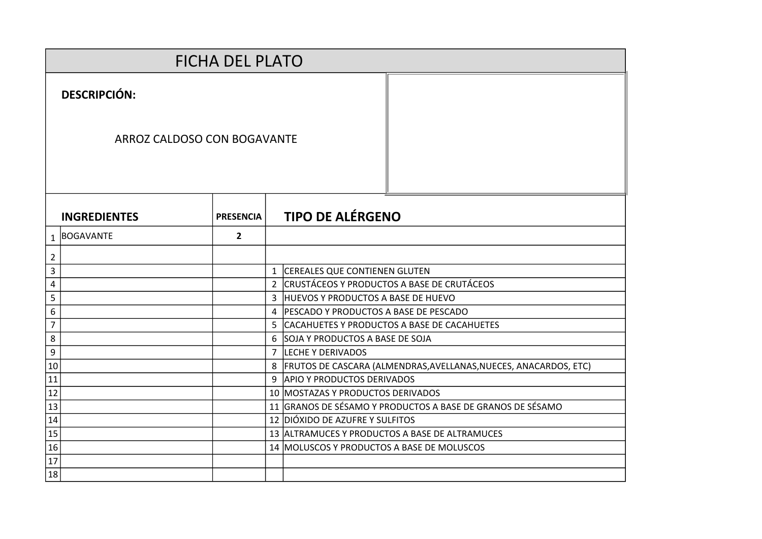|                  |                             | <b>FICHA DEL PLATO</b> |                |                                                                  |
|------------------|-----------------------------|------------------------|----------------|------------------------------------------------------------------|
|                  | <b>DESCRIPCIÓN:</b>         |                        |                |                                                                  |
|                  | ARROZ CALDOSO CON BOGAVANTE |                        |                |                                                                  |
|                  | <b>INGREDIENTES</b>         | <b>PRESENCIA</b>       |                | <b>TIPO DE ALÉRGENO</b>                                          |
|                  | 1 BOGAVANTE                 | $\overline{2}$         |                |                                                                  |
| $\overline{2}$   |                             |                        |                |                                                                  |
| 3                |                             |                        | $\mathbf{1}$   | <b>CEREALES QUE CONTIENEN GLUTEN</b>                             |
| 4                |                             |                        | $\overline{2}$ | CRUSTÁCEOS Y PRODUCTOS A BASE DE CRUTÁCEOS                       |
| 5                |                             |                        |                | 3 HUEVOS Y PRODUCTOS A BASE DE HUEVO                             |
| 6                |                             |                        | 4              | PESCADO Y PRODUCTOS A BASE DE PESCADO                            |
| $\overline{7}$   |                             |                        |                | 5 CACAHUETES Y PRODUCTOS A BASE DE CACAHUETES                    |
| 8                |                             |                        |                | 6 SOJA Y PRODUCTOS A BASE DE SOJA                                |
| $\boldsymbol{9}$ |                             |                        | $\overline{7}$ | LECHE Y DERIVADOS                                                |
| 10               |                             |                        | 8              | FRUTOS DE CASCARA (ALMENDRAS, AVELLANAS, NUECES, ANACARDOS, ETC) |
| 11               |                             |                        |                | 9 APIO Y PRODUCTOS DERIVADOS                                     |
| 12               |                             |                        |                | 10 MOSTAZAS Y PRODUCTOS DERIVADOS                                |
| 13               |                             |                        |                | 11 GRANOS DE SÉSAMO Y PRODUCTOS A BASE DE GRANOS DE SÉSAMO       |
| 14               |                             |                        |                | 12 DIÓXIDO DE AZUFRE Y SULFITOS                                  |
| 15               |                             |                        |                | 13 ALTRAMUCES Y PRODUCTOS A BASE DE ALTRAMUCES                   |
| 16               |                             |                        |                | 14 MOLUSCOS Y PRODUCTOS A BASE DE MOLUSCOS                       |
| 17               |                             |                        |                |                                                                  |
| 18               |                             |                        |                |                                                                  |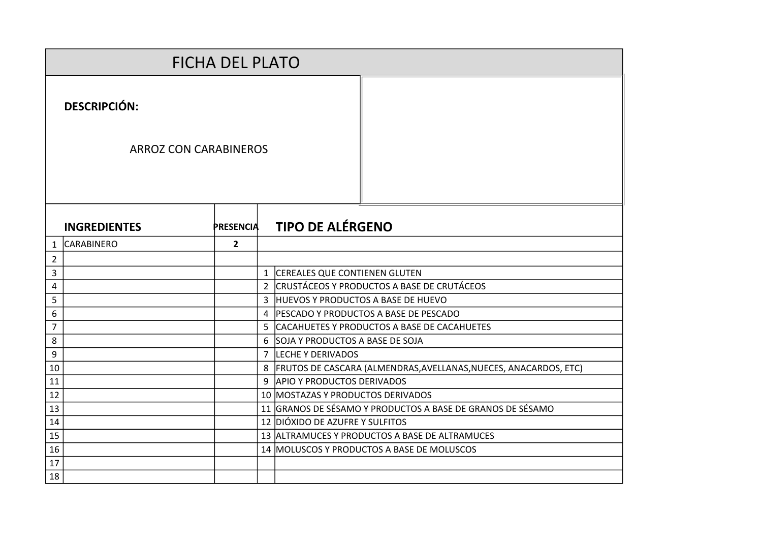|                |                              | <b>FICHA DEL PLATO</b> |  |                                                                      |
|----------------|------------------------------|------------------------|--|----------------------------------------------------------------------|
|                | <b>DESCRIPCIÓN:</b>          |                        |  |                                                                      |
|                | <b>ARROZ CON CARABINEROS</b> |                        |  |                                                                      |
|                | <b>INGREDIENTES</b>          | <b>PRESENCIA</b>       |  | <b>TIPO DE ALÉRGENO</b>                                              |
| 1              | <b>CARABINERO</b>            | $\overline{2}$         |  |                                                                      |
| $\overline{2}$ |                              |                        |  |                                                                      |
| 3              |                              |                        |  | 1 CEREALES QUE CONTIENEN GLUTEN                                      |
| 4              |                              |                        |  | 2 CRUSTÁCEOS Y PRODUCTOS A BASE DE CRUTÁCEOS                         |
| 5              |                              |                        |  | 3 HUEVOS Y PRODUCTOS A BASE DE HUEVO                                 |
| 6              |                              |                        |  | 4   PESCADO Y PRODUCTOS A BASE DE PESCADO                            |
| $\overline{7}$ |                              |                        |  | 5 CACAHUETES Y PRODUCTOS A BASE DE CACAHUETES                        |
| 8              |                              |                        |  | 6 SOJA Y PRODUCTOS A BASE DE SOJA                                    |
| 9              |                              |                        |  | 7 LECHE Y DERIVADOS                                                  |
| 10             |                              |                        |  | 8   FRUTOS DE CASCARA (ALMENDRAS, AVELLANAS, NUECES, ANACARDOS, ETC) |
| 11             |                              |                        |  | 9 APIO Y PRODUCTOS DERIVADOS                                         |
| 12             |                              |                        |  | 10 MOSTAZAS Y PRODUCTOS DERIVADOS                                    |
| 13             |                              |                        |  | 11 GRANOS DE SÉSAMO Y PRODUCTOS A BASE DE GRANOS DE SÉSAMO           |
| 14             |                              |                        |  | 12 DIÓXIDO DE AZUFRE Y SULFITOS                                      |
| 15             |                              |                        |  | 13 ALTRAMUCES Y PRODUCTOS A BASE DE ALTRAMUCES                       |
| 16             |                              |                        |  | 14 MOLUSCOS Y PRODUCTOS A BASE DE MOLUSCOS                           |
| 17             |                              |                        |  |                                                                      |
| 18             |                              |                        |  |                                                                      |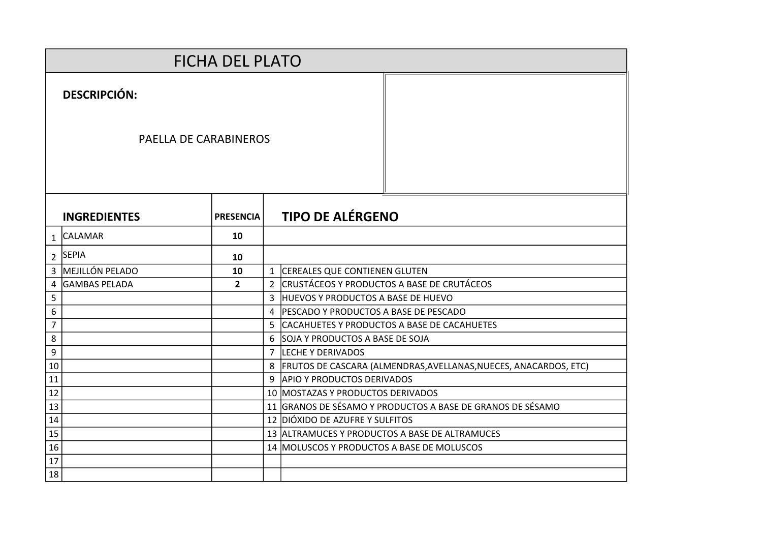|                |                       | <b>FICHA DEL PLATO</b> |                |                                                                    |
|----------------|-----------------------|------------------------|----------------|--------------------------------------------------------------------|
|                | <b>DESCRIPCIÓN:</b>   |                        |                |                                                                    |
|                | PAELLA DE CARABINEROS |                        |                |                                                                    |
|                | <b>INGREDIENTES</b>   | <b>PRESENCIA</b>       |                | <b>TIPO DE ALÉRGENO</b>                                            |
| $\mathbf{1}$   | <b>CALAMAR</b>        | 10                     |                |                                                                    |
|                | 2 SEPIA               | 10                     |                |                                                                    |
|                | 3 MEJILLÓN PELADO     | 10                     |                | 1 CEREALES QUE CONTIENEN GLUTEN                                    |
| $\overline{4}$ | <b>GAMBAS PELADA</b>  | $\overline{2}$         |                | 2 CRUSTÁCEOS Y PRODUCTOS A BASE DE CRUTÁCEOS                       |
| 5              |                       |                        |                | 3 HUEVOS Y PRODUCTOS A BASE DE HUEVO                               |
| 6              |                       |                        |                | 4 PESCADO Y PRODUCTOS A BASE DE PESCADO                            |
| 7              |                       |                        |                | 5 CACAHUETES Y PRODUCTOS A BASE DE CACAHUETES                      |
| 8              |                       |                        |                | 6 SOJA Y PRODUCTOS A BASE DE SOJA                                  |
| 9              |                       |                        | $\overline{7}$ | LECHE Y DERIVADOS                                                  |
| 10             |                       |                        |                | 8 FRUTOS DE CASCARA (ALMENDRAS, AVELLANAS, NUECES, ANACARDOS, ETC) |
| 11             |                       |                        |                | 9 APIO Y PRODUCTOS DERIVADOS                                       |
| 12             |                       |                        |                | 10 MOSTAZAS Y PRODUCTOS DERIVADOS                                  |
| 13             |                       |                        |                | 11 GRANOS DE SÉSAMO Y PRODUCTOS A BASE DE GRANOS DE SÉSAMO         |
| 14             |                       |                        |                | 12 DIÓXIDO DE AZUFRE Y SULFITOS                                    |
| 15             |                       |                        |                | 13 ALTRAMUCES Y PRODUCTOS A BASE DE ALTRAMUCES                     |
| 16             |                       |                        |                | 14 MOLUSCOS Y PRODUCTOS A BASE DE MOLUSCOS                         |
| 17             |                       |                        |                |                                                                    |
| 18             |                       |                        |                |                                                                    |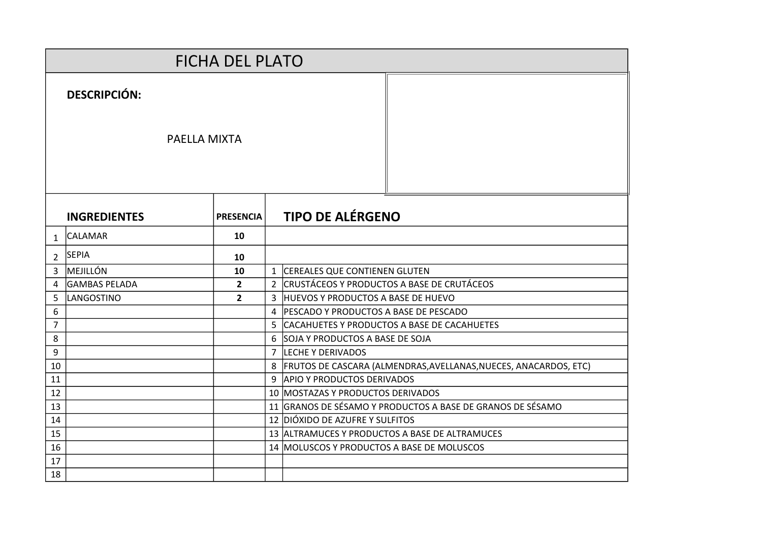|                |                                     | <b>FICHA DEL PLATO</b> |  |                                                                      |
|----------------|-------------------------------------|------------------------|--|----------------------------------------------------------------------|
|                | <b>DESCRIPCIÓN:</b><br>PAELLA MIXTA |                        |  |                                                                      |
|                | <b>INGREDIENTES</b>                 | <b>PRESENCIA</b>       |  | <b>TIPO DE ALÉRGENO</b>                                              |
| 1              | <b>CALAMAR</b>                      | 10                     |  |                                                                      |
| $\overline{2}$ | <b>SEPIA</b>                        | 10                     |  |                                                                      |
| 3              | <b>MEJILLÓN</b>                     | 10                     |  | 1 CEREALES QUE CONTIENEN GLUTEN                                      |
| 4              | <b>GAMBAS PELADA</b>                | $\overline{2}$         |  | 2 CRUSTÁCEOS Y PRODUCTOS A BASE DE CRUTÁCEOS                         |
| 5              | LANGOSTINO                          | $\overline{2}$         |  | 3 HUEVOS Y PRODUCTOS A BASE DE HUEVO                                 |
| 6              |                                     |                        |  | 4   PESCADO Y PRODUCTOS A BASE DE PESCADO                            |
| $\overline{7}$ |                                     |                        |  | 5 CACAHUETES Y PRODUCTOS A BASE DE CACAHUETES                        |
| 8              |                                     |                        |  | 6 SOJA Y PRODUCTOS A BASE DE SOJA                                    |
| 9              |                                     |                        |  | 7 LECHE Y DERIVADOS                                                  |
| 10             |                                     |                        |  | 8   FRUTOS DE CASCARA (ALMENDRAS, AVELLANAS, NUECES, ANACARDOS, ETC) |
| 11             |                                     |                        |  | 9 APIO Y PRODUCTOS DERIVADOS                                         |
| 12             |                                     |                        |  | 10 MOSTAZAS Y PRODUCTOS DERIVADOS                                    |
| 13             |                                     |                        |  | 11 GRANOS DE SÉSAMO Y PRODUCTOS A BASE DE GRANOS DE SÉSAMO           |
| 14             |                                     |                        |  | 12 DIÓXIDO DE AZUFRE Y SULFITOS                                      |
| 15             |                                     |                        |  | 13 ALTRAMUCES Y PRODUCTOS A BASE DE ALTRAMUCES                       |
| 16             |                                     |                        |  | 14 MOLUSCOS Y PRODUCTOS A BASE DE MOLUSCOS                           |
| 17             |                                     |                        |  |                                                                      |
| 18             |                                     |                        |  |                                                                      |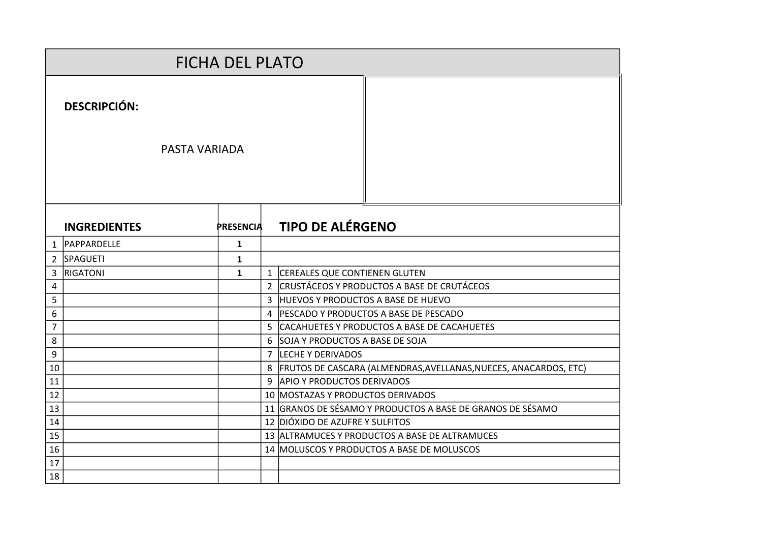|                |                                             | <b>FICHA DEL PLATO</b> |                |                                                                  |
|----------------|---------------------------------------------|------------------------|----------------|------------------------------------------------------------------|
|                | <b>DESCRIPCIÓN:</b><br><b>PASTA VARIADA</b> |                        |                |                                                                  |
|                |                                             |                        |                |                                                                  |
|                | <b>INGREDIENTES</b>                         | <b>PRESENCIA</b>       |                | <b>TIPO DE ALÉRGENO</b>                                          |
| 1              | <b>PAPPARDELLE</b>                          | $\mathbf{1}$           |                |                                                                  |
| $\overline{2}$ | SPAGUETI                                    | $\mathbf{1}$           |                |                                                                  |
| 3              | <b>RIGATONI</b>                             | $\mathbf{1}$           | $\mathbf{1}$   | CEREALES QUE CONTIENEN GLUTEN                                    |
| 4              |                                             |                        | $\overline{2}$ | <b>CRUSTÁCEOS Y PRODUCTOS A BASE DE CRUTÁCEOS</b>                |
| 5              |                                             |                        | $\overline{3}$ | <b>HUEVOS Y PRODUCTOS A BASE DE HUEVO</b>                        |
| 6              |                                             |                        | 4              | PESCADO Y PRODUCTOS A BASE DE PESCADO                            |
| $\overline{7}$ |                                             |                        | 5              | CACAHUETES Y PRODUCTOS A BASE DE CACAHUETES                      |
| 8              |                                             |                        | 6              | SOJA Y PRODUCTOS A BASE DE SOJA                                  |
| 9              |                                             |                        | 7              | <b>LECHE Y DERIVADOS</b>                                         |
| 10             |                                             |                        | 8              | FRUTOS DE CASCARA (ALMENDRAS, AVELLANAS, NUECES, ANACARDOS, ETC) |
| 11             |                                             |                        | 9              | <b>APIO Y PRODUCTOS DERIVADOS</b>                                |
| 12             |                                             |                        |                | 10 MOSTAZAS Y PRODUCTOS DERIVADOS                                |
| 13             |                                             |                        |                | 11 GRANOS DE SÉSAMO Y PRODUCTOS A BASE DE GRANOS DE SÉSAMO       |
| 14             |                                             |                        |                | 12 DIÓXIDO DE AZUFRE Y SULFITOS                                  |
| 15             |                                             |                        |                | 13 ALTRAMUCES Y PRODUCTOS A BASE DE ALTRAMUCES                   |
| 16             |                                             |                        |                | 14 MOLUSCOS Y PRODUCTOS A BASE DE MOLUSCOS                       |
| 17             |                                             |                        |                |                                                                  |
| 18             |                                             |                        |                |                                                                  |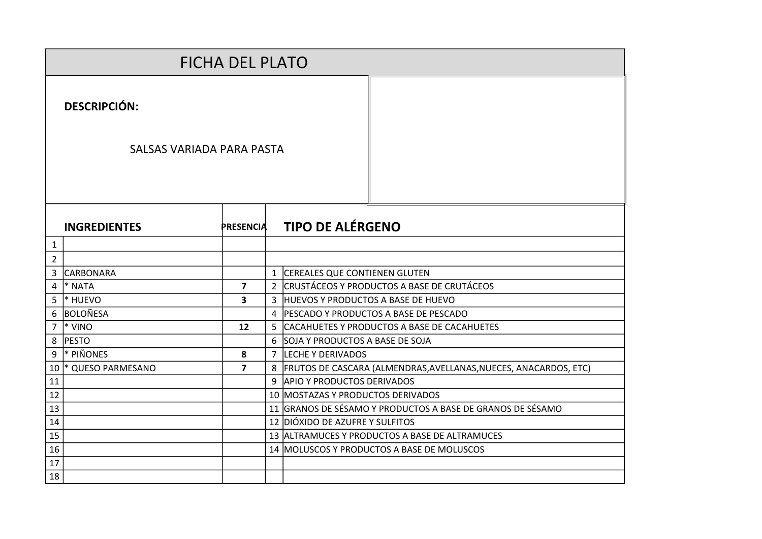|                |                                                  | <b>FICHA DEL PLATO</b> |   |                                                                      |
|----------------|--------------------------------------------------|------------------------|---|----------------------------------------------------------------------|
|                | <b>DESCRIPCIÓN:</b><br>SALSAS VARIADA PARA PASTA |                        |   |                                                                      |
|                |                                                  |                        |   |                                                                      |
|                | <b>INGREDIENTES</b>                              | <b>PRESENCIA</b>       |   | <b>TIPO DE ALÉRGENO</b>                                              |
| 1              |                                                  |                        |   |                                                                      |
| $\overline{2}$ |                                                  |                        |   |                                                                      |
| 3              | <b>CARBONARA</b>                                 |                        |   | 1 CEREALES QUE CONTIENEN GLUTEN                                      |
| 4              | <sup>*</sup> NATA                                | $\overline{7}$         |   | 2  CRUSTÁCEOS Y PRODUCTOS A BASE DE CRUTÁCEOS                        |
| 5              | <sup>*</sup> HUEVO                               | 3                      |   | 3 HUEVOS Y PRODUCTOS A BASE DE HUEVO                                 |
| 6              | <b>BOLOÑESA</b>                                  |                        |   | 4 PESCADO Y PRODUCTOS A BASE DE PESCADO                              |
| $\overline{7}$ | <sup>*</sup> VINO                                | 12                     | 5 | CACAHUETES Y PRODUCTOS A BASE DE CACAHUETES                          |
| 8              | <b>PESTO</b>                                     |                        |   | 6 SOJA Y PRODUCTOS A BASE DE SOJA                                    |
| 9              | * PIÑONES                                        | 8                      |   | 7 LECHE Y DERIVADOS                                                  |
| 10             | * QUESO PARMESANO                                | $\overline{7}$         |   | 8   FRUTOS DE CASCARA (ALMENDRAS, AVELLANAS, NUECES, ANACARDOS, ETC) |
| 11             |                                                  |                        |   | 9 APIO Y PRODUCTOS DERIVADOS                                         |
| 12             |                                                  |                        |   | 10 MOSTAZAS Y PRODUCTOS DERIVADOS                                    |
| 13             |                                                  |                        |   | 11 GRANOS DE SÉSAMO Y PRODUCTOS A BASE DE GRANOS DE SÉSAMO           |
| 14             |                                                  |                        |   | 12 DIÓXIDO DE AZUFRE Y SULFITOS                                      |
| 15             |                                                  |                        |   | 13 ALTRAMUCES Y PRODUCTOS A BASE DE ALTRAMUCES                       |
| 16             |                                                  |                        |   | 14   MOLUSCOS Y PRODUCTOS A BASE DE MOLUSCOS                         |
| 17             |                                                  |                        |   |                                                                      |
| 18             |                                                  |                        |   |                                                                      |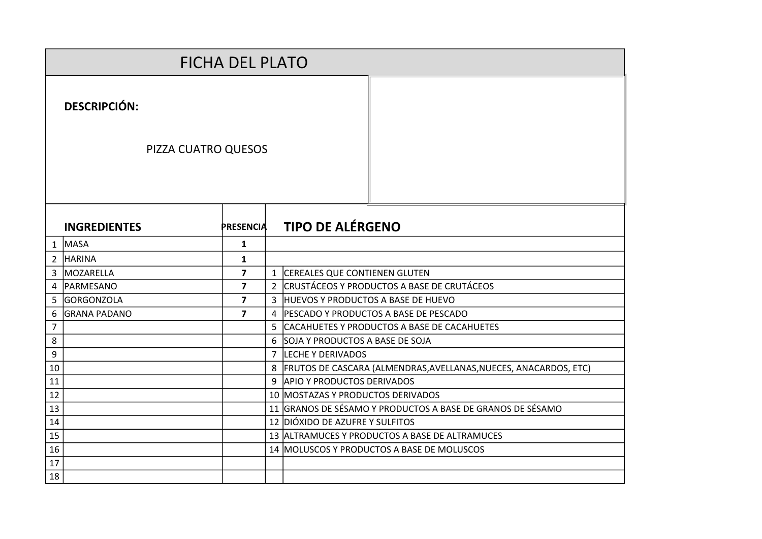|                |                     | <b>FICHA DEL PLATO</b>  |  |                                         |                                                                      |
|----------------|---------------------|-------------------------|--|-----------------------------------------|----------------------------------------------------------------------|
|                | <b>DESCRIPCIÓN:</b> |                         |  |                                         |                                                                      |
|                | PIZZA CUATRO QUESOS |                         |  |                                         |                                                                      |
|                | <b>INGREDIENTES</b> | <b>PRESENCIA</b>        |  | <b>TIPO DE ALÉRGENO</b>                 |                                                                      |
|                | $1$ MASA            | $\mathbf{1}$            |  |                                         |                                                                      |
|                | 2 HARINA            | $\mathbf{1}$            |  |                                         |                                                                      |
| 3              | <b>MOZARELLA</b>    | $\overline{7}$          |  | 1 CEREALES QUE CONTIENEN GLUTEN         |                                                                      |
| 4              | PARMESANO           | $\overline{\mathbf{z}}$ |  |                                         | 2 CRUSTÁCEOS Y PRODUCTOS A BASE DE CRUTÁCEOS                         |
| 5              | <b>GORGONZOLA</b>   | $\overline{\mathbf{z}}$ |  | 3 HUEVOS Y PRODUCTOS A BASE DE HUEVO    |                                                                      |
| 6              | <b>GRANA PADANO</b> | $\overline{7}$          |  | 4 PESCADO Y PRODUCTOS A BASE DE PESCADO |                                                                      |
| $\overline{7}$ |                     |                         |  |                                         | 5 CACAHUETES Y PRODUCTOS A BASE DE CACAHUETES                        |
| 8              |                     |                         |  | 6 SOJA Y PRODUCTOS A BASE DE SOJA       |                                                                      |
| 9              |                     |                         |  | 7 LECHE Y DERIVADOS                     |                                                                      |
| 10             |                     |                         |  |                                         | 8   FRUTOS DE CASCARA (ALMENDRAS, AVELLANAS, NUECES, ANACARDOS, ETC) |
| 11             |                     |                         |  | 9 APIO Y PRODUCTOS DERIVADOS            |                                                                      |
| 12             |                     |                         |  | 10 MOSTAZAS Y PRODUCTOS DERIVADOS       |                                                                      |
| 13             |                     |                         |  |                                         | 11 GRANOS DE SÉSAMO Y PRODUCTOS A BASE DE GRANOS DE SÉSAMO           |
| 14             |                     |                         |  | 12 DIÓXIDO DE AZUFRE Y SULFITOS         |                                                                      |
| 15<br>16       |                     |                         |  |                                         | 13 ALTRAMUCES Y PRODUCTOS A BASE DE ALTRAMUCES                       |
| 17             |                     |                         |  |                                         | 14 MOLUSCOS Y PRODUCTOS A BASE DE MOLUSCOS                           |
| 18             |                     |                         |  |                                         |                                                                      |
|                |                     |                         |  |                                         |                                                                      |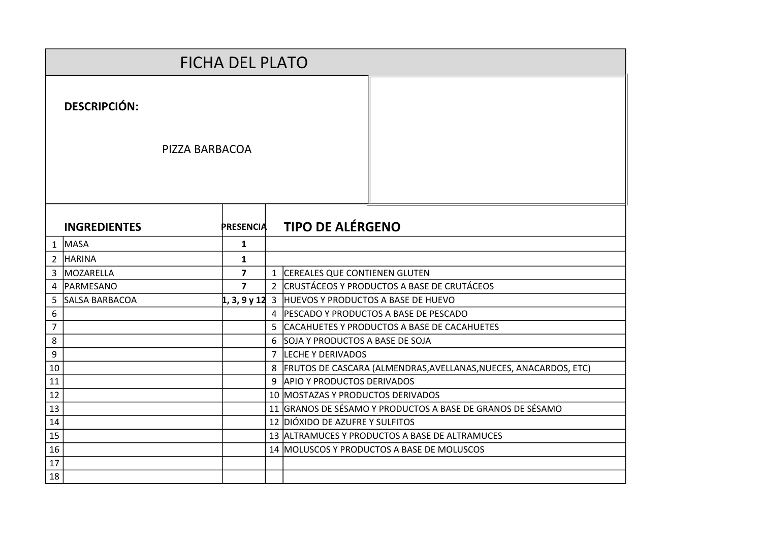|                |                       | <b>FICHA DEL PLATO</b> |                |                                                                  |
|----------------|-----------------------|------------------------|----------------|------------------------------------------------------------------|
|                | <b>DESCRIPCIÓN:</b>   |                        |                |                                                                  |
|                | PIZZA BARBACOA        |                        |                |                                                                  |
|                | <b>INGREDIENTES</b>   | <b>PRESENCIA</b>       |                | <b>TIPO DE ALÉRGENO</b>                                          |
|                | $1$ MASA              | $\mathbf{1}$           |                |                                                                  |
| 2 <sup>1</sup> | <b>HARINA</b>         | $\mathbf{1}$           |                |                                                                  |
| 3              | <b>MOZARELLA</b>      | $\overline{7}$         | $\mathbf{1}$   | <b>CEREALES QUE CONTIENEN GLUTEN</b>                             |
| 4              | <b>IPARMESANO</b>     | $\overline{7}$         |                | 2 CRUSTÁCEOS Y PRODUCTOS A BASE DE CRUTÁCEOS                     |
| 5              | <b>SALSA BARBACOA</b> |                        |                | $\vert 1, 3, 9$ y 12 3 HUEVOS Y PRODUCTOS A BASE DE HUEVO        |
| 6              |                       |                        |                | 4 PESCADO Y PRODUCTOS A BASE DE PESCADO                          |
| $\overline{7}$ |                       |                        | 5              | CACAHUETES Y PRODUCTOS A BASE DE CACAHUETES                      |
| 8              |                       |                        | 6              | SOJA Y PRODUCTOS A BASE DE SOJA                                  |
| 9              |                       |                        | $\overline{7}$ | <b>LECHE Y DERIVADOS</b>                                         |
| 10             |                       |                        | 8              | FRUTOS DE CASCARA (ALMENDRAS, AVELLANAS, NUECES, ANACARDOS, ETC) |
| 11             |                       |                        | 9              | <b>APIO Y PRODUCTOS DERIVADOS</b>                                |
| 12             |                       |                        |                | 10 MOSTAZAS Y PRODUCTOS DERIVADOS                                |
| 13             |                       |                        |                | 11 GRANOS DE SÉSAMO Y PRODUCTOS A BASE DE GRANOS DE SÉSAMO       |
| 14             |                       |                        |                | 12 DIÓXIDO DE AZUFRE Y SULFITOS                                  |
| 15             |                       |                        |                | 13 ALTRAMUCES Y PRODUCTOS A BASE DE ALTRAMUCES                   |
| 16             |                       |                        |                | 14 MOLUSCOS Y PRODUCTOS A BASE DE MOLUSCOS                       |
| 17             |                       |                        |                |                                                                  |
| 18             |                       |                        |                |                                                                  |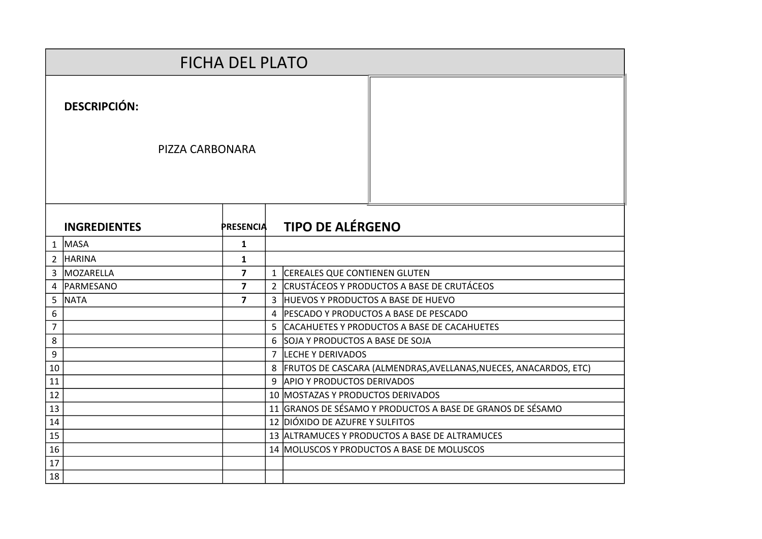|                |                     | <b>FICHA DEL PLATO</b>  |  |                                                |                                                                      |
|----------------|---------------------|-------------------------|--|------------------------------------------------|----------------------------------------------------------------------|
|                | <b>DESCRIPCIÓN:</b> |                         |  |                                                |                                                                      |
|                | PIZZA CARBONARA     |                         |  |                                                |                                                                      |
|                | <b>INGREDIENTES</b> | <b>PRESENCIA</b>        |  | <b>TIPO DE ALÉRGENO</b>                        |                                                                      |
|                | $1$ MASA            | $\mathbf{1}$            |  |                                                |                                                                      |
|                | 2 HARINA            | $\mathbf{1}$            |  |                                                |                                                                      |
| 3              | <b>MOZARELLA</b>    | $\overline{7}$          |  | 1 CEREALES QUE CONTIENEN GLUTEN                |                                                                      |
| 4              | PARMESANO           | $\overline{7}$          |  | 2 CRUSTÁCEOS Y PRODUCTOS A BASE DE CRUTÁCEOS   |                                                                      |
| 5              | <b>NATA</b>         | $\overline{\mathbf{z}}$ |  | 3 HUEVOS Y PRODUCTOS A BASE DE HUEVO           |                                                                      |
| 6              |                     |                         |  | 4 PESCADO Y PRODUCTOS A BASE DE PESCADO        |                                                                      |
| $\overline{7}$ |                     |                         |  | 5 CACAHUETES Y PRODUCTOS A BASE DE CACAHUETES  |                                                                      |
| $\,8\,$        |                     |                         |  | 6 SOJA Y PRODUCTOS A BASE DE SOJA              |                                                                      |
| 9              |                     |                         |  | 7 LECHE Y DERIVADOS                            |                                                                      |
| 10             |                     |                         |  |                                                | 8   FRUTOS DE CASCARA (ALMENDRAS, AVELLANAS, NUECES, ANACARDOS, ETC) |
| 11             |                     |                         |  | 9 APIO Y PRODUCTOS DERIVADOS                   |                                                                      |
| 12             |                     |                         |  | 10 MOSTAZAS Y PRODUCTOS DERIVADOS              |                                                                      |
| 13             |                     |                         |  |                                                | 11 GRANOS DE SÉSAMO Y PRODUCTOS A BASE DE GRANOS DE SÉSAMO           |
| 14             |                     |                         |  | 12 DIÓXIDO DE AZUFRE Y SULFITOS                |                                                                      |
| 15             |                     |                         |  | 13 ALTRAMUCES Y PRODUCTOS A BASE DE ALTRAMUCES |                                                                      |
| 16             |                     |                         |  | 14 MOLUSCOS Y PRODUCTOS A BASE DE MOLUSCOS     |                                                                      |
| 17             |                     |                         |  |                                                |                                                                      |
| 18             |                     |                         |  |                                                |                                                                      |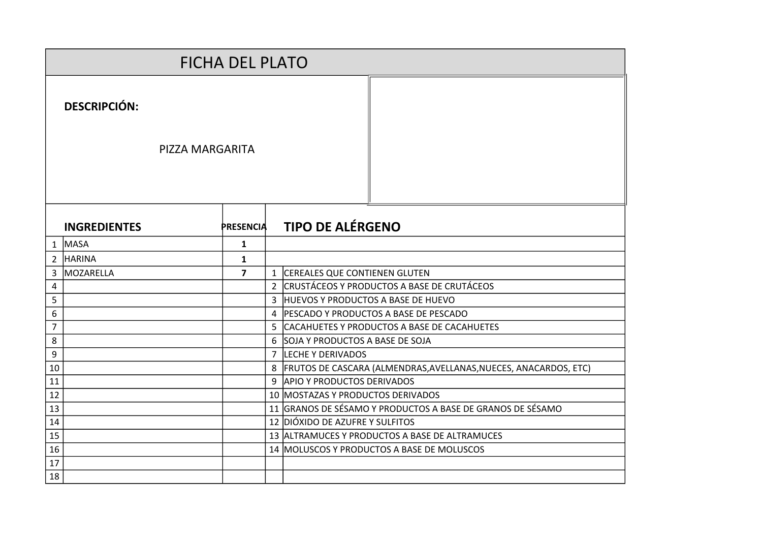|                | <b>FICHA DEL PLATO</b> |                  |                |                                                                  |
|----------------|------------------------|------------------|----------------|------------------------------------------------------------------|
|                | <b>DESCRIPCIÓN:</b>    |                  |                |                                                                  |
|                | PIZZA MARGARITA        |                  |                |                                                                  |
|                | <b>INGREDIENTES</b>    | <b>PRESENCIA</b> |                | <b>TIPO DE ALÉRGENO</b>                                          |
|                | $1$ MASA               | $\mathbf{1}$     |                |                                                                  |
| $2^{\circ}$    | <b>HARINA</b>          | $\mathbf{1}$     |                |                                                                  |
| 3              | MOZARELLA              | $\overline{7}$   | $\mathbf{1}$   | CEREALES QUE CONTIENEN GLUTEN                                    |
| 4              |                        |                  | $\overline{2}$ | CRUSTÁCEOS Y PRODUCTOS A BASE DE CRUTÁCEOS                       |
| 5              |                        |                  | 3              | HUEVOS Y PRODUCTOS A BASE DE HUEVO                               |
| 6              |                        |                  |                | 4 PESCADO Y PRODUCTOS A BASE DE PESCADO                          |
| $\overline{7}$ |                        |                  | 5              | CACAHUETES Y PRODUCTOS A BASE DE CACAHUETES                      |
| 8              |                        |                  |                | 6 SOJA Y PRODUCTOS A BASE DE SOJA                                |
| 9              |                        |                  | $\overline{7}$ | LECHE Y DERIVADOS                                                |
| 10             |                        |                  | 8              | FRUTOS DE CASCARA (ALMENDRAS, AVELLANAS, NUECES, ANACARDOS, ETC) |
| 11             |                        |                  |                | 9 APIO Y PRODUCTOS DERIVADOS                                     |
| 12             |                        |                  |                | 10 MOSTAZAS Y PRODUCTOS DERIVADOS                                |
| 13             |                        |                  |                | 11 GRANOS DE SÉSAMO Y PRODUCTOS A BASE DE GRANOS DE SÉSAMO       |
| 14             |                        |                  |                | 12 DIÓXIDO DE AZUFRE Y SULFITOS                                  |
| 15             |                        |                  |                | 13 ALTRAMUCES Y PRODUCTOS A BASE DE ALTRAMUCES                   |
| 16             |                        |                  |                | 14 MOLUSCOS Y PRODUCTOS A BASE DE MOLUSCOS                       |
| 17             |                        |                  |                |                                                                  |
| 18             |                        |                  |                |                                                                  |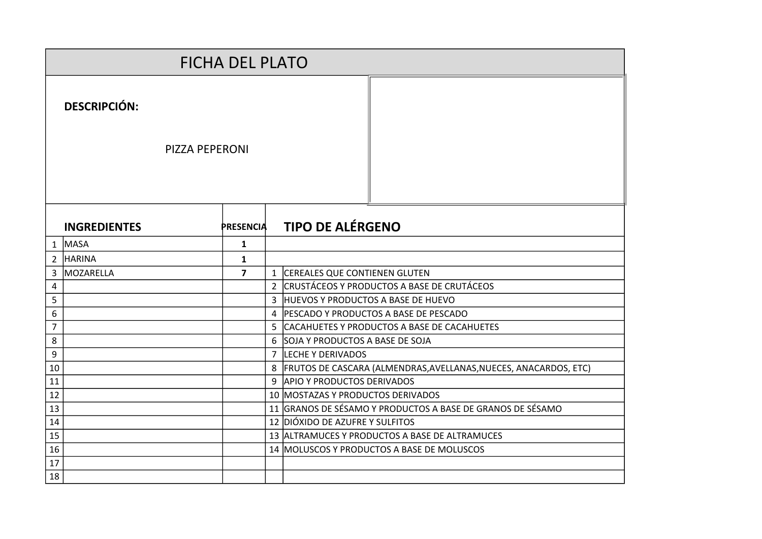|                |                       | <b>FICHA DEL PLATO</b> |                                                                    |
|----------------|-----------------------|------------------------|--------------------------------------------------------------------|
|                | <b>DESCRIPCIÓN:</b>   |                        |                                                                    |
|                | <b>PIZZA PEPERONI</b> |                        |                                                                    |
|                | <b>INGREDIENTES</b>   | <b>PRESENCIA</b>       | <b>TIPO DE ALÉRGENO</b>                                            |
|                | $1$ MASA              | $\mathbf{1}$           |                                                                    |
| $\overline{2}$ | <b>HARINA</b>         | $\mathbf{1}$           |                                                                    |
| 3              | MOZARELLA             | $\overline{7}$         | 1 CEREALES QUE CONTIENEN GLUTEN                                    |
| 4              |                       |                        | 2 CRUSTÁCEOS Y PRODUCTOS A BASE DE CRUTÁCEOS                       |
| 5              |                       |                        | 3 HUEVOS Y PRODUCTOS A BASE DE HUEVO                               |
| 6              |                       |                        | 4 PESCADO Y PRODUCTOS A BASE DE PESCADO                            |
| $\overline{7}$ |                       |                        | 5 CACAHUETES Y PRODUCTOS A BASE DE CACAHUETES                      |
| 8              |                       |                        | 6 SOJA Y PRODUCTOS A BASE DE SOJA                                  |
| 9              |                       |                        | 7 LECHE Y DERIVADOS                                                |
| 10             |                       |                        | 8 FRUTOS DE CASCARA (ALMENDRAS, AVELLANAS, NUECES, ANACARDOS, ETC) |
| 11             |                       |                        | 9 APIO Y PRODUCTOS DERIVADOS                                       |
| 12             |                       |                        | 10 MOSTAZAS Y PRODUCTOS DERIVADOS                                  |
| 13             |                       |                        | 11 GRANOS DE SÉSAMO Y PRODUCTOS A BASE DE GRANOS DE SÉSAMO         |
| 14             |                       |                        | 12 DIÓXIDO DE AZUFRE Y SULFITOS                                    |
| 15             |                       |                        | 13 ALTRAMUCES Y PRODUCTOS A BASE DE ALTRAMUCES                     |
| 16             |                       |                        | 14 MOLUSCOS Y PRODUCTOS A BASE DE MOLUSCOS                         |
| 17             |                       |                        |                                                                    |
| 18             |                       |                        |                                                                    |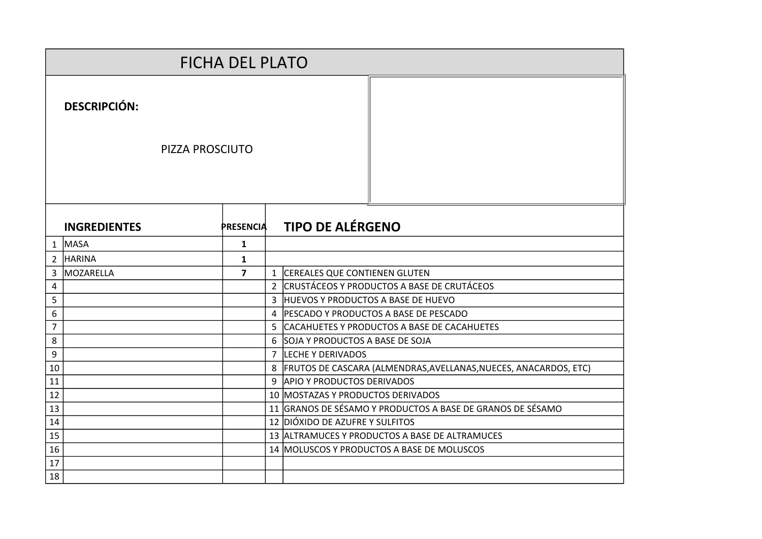|                |                     | <b>FICHA DEL PLATO</b> |  |                                                                      |
|----------------|---------------------|------------------------|--|----------------------------------------------------------------------|
|                | <b>DESCRIPCIÓN:</b> |                        |  |                                                                      |
|                | PIZZA PROSCIUTO     |                        |  |                                                                      |
|                | <b>INGREDIENTES</b> | <b>PRESENCIA</b>       |  | <b>TIPO DE ALÉRGENO</b>                                              |
|                | $1$ MASA            | $\mathbf{1}$           |  |                                                                      |
| $\overline{2}$ | <b>HARINA</b>       | $\mathbf{1}$           |  |                                                                      |
| 3              | MOZARELLA           | $\overline{7}$         |  | 1 CEREALES QUE CONTIENEN GLUTEN                                      |
| 4              |                     |                        |  | 2 CRUSTÁCEOS Y PRODUCTOS A BASE DE CRUTÁCEOS                         |
| 5              |                     |                        |  | 3 HUEVOS Y PRODUCTOS A BASE DE HUEVO                                 |
| 6              |                     |                        |  | 4 PESCADO Y PRODUCTOS A BASE DE PESCADO                              |
| $\overline{7}$ |                     |                        |  | 5 CACAHUETES Y PRODUCTOS A BASE DE CACAHUETES                        |
| 8              |                     |                        |  | 6 SOJA Y PRODUCTOS A BASE DE SOJA                                    |
| 9              |                     |                        |  | 7 LECHE Y DERIVADOS                                                  |
| 10             |                     |                        |  | 8   FRUTOS DE CASCARA (ALMENDRAS, AVELLANAS, NUECES, ANACARDOS, ETC) |
| 11             |                     |                        |  | 9 APIO Y PRODUCTOS DERIVADOS                                         |
| 12             |                     |                        |  | 10 MOSTAZAS Y PRODUCTOS DERIVADOS                                    |
| 13             |                     |                        |  | 11 GRANOS DE SÉSAMO Y PRODUCTOS A BASE DE GRANOS DE SÉSAMO           |
| 14             |                     |                        |  | 12 DIÓXIDO DE AZUFRE Y SULFITOS                                      |
| 15             |                     |                        |  | 13 ALTRAMUCES Y PRODUCTOS A BASE DE ALTRAMUCES                       |
| 16             |                     |                        |  | 14 MOLUSCOS Y PRODUCTOS A BASE DE MOLUSCOS                           |
| 17             |                     |                        |  |                                                                      |
| 18             |                     |                        |  |                                                                      |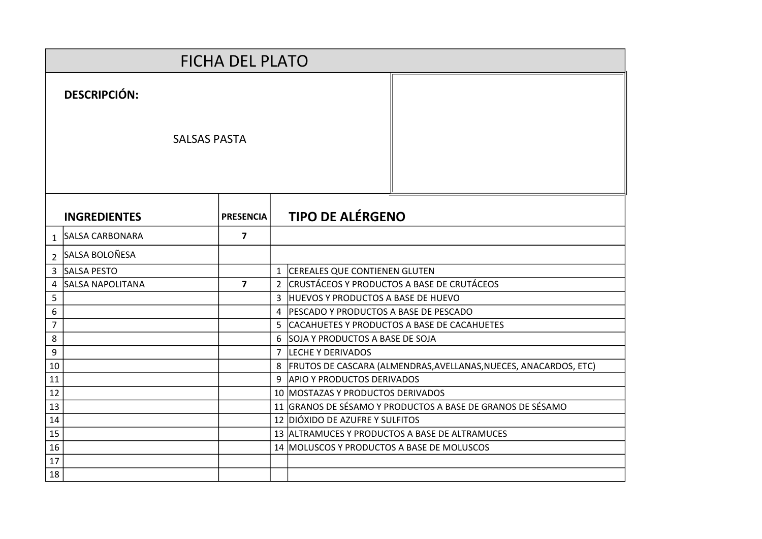|                | <b>FICHA DEL PLATO</b> |                  |   |                                                                      |
|----------------|------------------------|------------------|---|----------------------------------------------------------------------|
|                | <b>DESCRIPCIÓN:</b>    |                  |   |                                                                      |
|                | <b>SALSAS PASTA</b>    |                  |   |                                                                      |
|                | <b>INGREDIENTES</b>    | <b>PRESENCIA</b> |   | <b>TIPO DE ALÉRGENO</b>                                              |
| $\mathbf{1}$   | SALSA CARBONARA        | $\overline{7}$   |   |                                                                      |
| $\overline{2}$ | SALSA BOLOÑESA         |                  |   |                                                                      |
| $\mathbf{3}$   | <b>SALSA PESTO</b>     |                  |   | 1 CEREALES QUE CONTIENEN GLUTEN                                      |
| 4              | SALSA NAPOLITANA       | $\overline{7}$   |   | 2 CRUSTÁCEOS Y PRODUCTOS A BASE DE CRUTÁCEOS                         |
| 5              |                        |                  |   | 3 HUEVOS Y PRODUCTOS A BASE DE HUEVO                                 |
| 6              |                        |                  | 4 | <b>PESCADO Y PRODUCTOS A BASE DE PESCADO</b>                         |
| $\overline{7}$ |                        |                  |   | 5 CACAHUETES Y PRODUCTOS A BASE DE CACAHUETES                        |
| 8              |                        |                  |   | 6 SOJA Y PRODUCTOS A BASE DE SOJA                                    |
| 9              |                        |                  |   | 7 LECHE Y DERIVADOS                                                  |
| 10             |                        |                  |   | 8   FRUTOS DE CASCARA (ALMENDRAS, AVELLANAS, NUECES, ANACARDOS, ETC) |
| 11             |                        |                  |   | 9 APIO Y PRODUCTOS DERIVADOS                                         |
| 12             |                        |                  |   | 10 MOSTAZAS Y PRODUCTOS DERIVADOS                                    |
| 13             |                        |                  |   | 11 GRANOS DE SÉSAMO Y PRODUCTOS A BASE DE GRANOS DE SÉSAMO           |
| 14             |                        |                  |   | 12 DIÓXIDO DE AZUFRE Y SULFITOS                                      |
| 15             |                        |                  |   | 13 ALTRAMUCES Y PRODUCTOS A BASE DE ALTRAMUCES                       |
| 16             |                        |                  |   | 14 MOLUSCOS Y PRODUCTOS A BASE DE MOLUSCOS                           |
| 17             |                        |                  |   |                                                                      |
| 18             |                        |                  |   |                                                                      |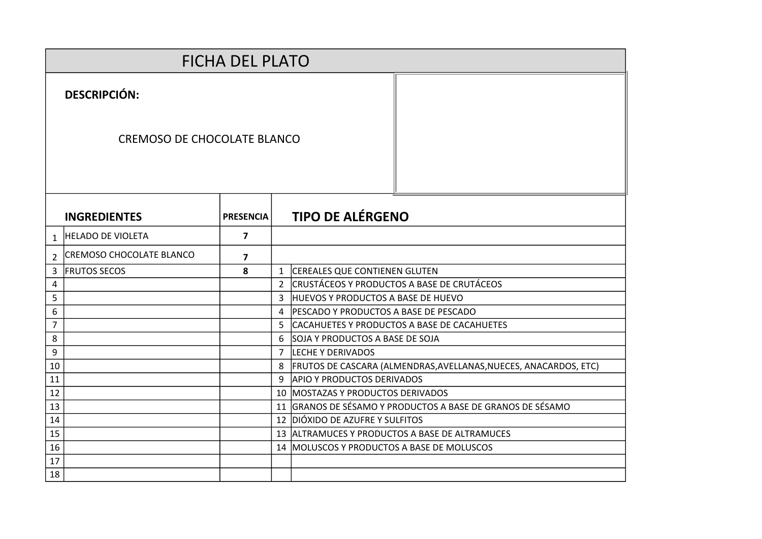|                | <b>FICHA DEL PLATO</b>             |                         |                |                                                                  |
|----------------|------------------------------------|-------------------------|----------------|------------------------------------------------------------------|
|                | <b>DESCRIPCIÓN:</b>                |                         |                |                                                                  |
|                | <b>CREMOSO DE CHOCOLATE BLANCO</b> |                         |                |                                                                  |
|                | <b>INGREDIENTES</b>                | <b>PRESENCIA</b>        |                | <b>TIPO DE ALÉRGENO</b>                                          |
| $\mathbf{1}$   | <b>HELADO DE VIOLETA</b>           | $\overline{\mathbf{z}}$ |                |                                                                  |
| $\overline{2}$ | <b>CREMOSO CHOCOLATE BLANCO</b>    | 7                       |                |                                                                  |
| 3              | <b>FRUTOS SECOS</b>                | 8                       | $\mathbf{1}$   | <b>CEREALES QUE CONTIENEN GLUTEN</b>                             |
| 4              |                                    |                         | $\overline{2}$ | CRUSTÁCEOS Y PRODUCTOS A BASE DE CRUTÁCEOS                       |
| 5              |                                    |                         | 3              | <b>HUEVOS Y PRODUCTOS A BASE DE HUEVO</b>                        |
| 6              |                                    |                         | 4              | PESCADO Y PRODUCTOS A BASE DE PESCADO                            |
| $\overline{7}$ |                                    |                         | 5              | CACAHUETES Y PRODUCTOS A BASE DE CACAHUETES                      |
| 8              |                                    |                         | 6              | SOJA Y PRODUCTOS A BASE DE SOJA                                  |
| 9              |                                    |                         | $\overline{7}$ | LECHE Y DERIVADOS                                                |
| 10             |                                    |                         | 8              | FRUTOS DE CASCARA (ALMENDRAS, AVELLANAS, NUECES, ANACARDOS, ETC) |
| 11             |                                    |                         | 9              | <b>APIO Y PRODUCTOS DERIVADOS</b>                                |
| 12             |                                    |                         | 10             | MOSTAZAS Y PRODUCTOS DERIVADOS                                   |
| 13             |                                    |                         | 11             | GRANOS DE SÉSAMO Y PRODUCTOS A BASE DE GRANOS DE SÉSAMO          |
| 14             |                                    |                         |                | 12 DIÓXIDO DE AZUFRE Y SULFITOS                                  |
| 15             |                                    |                         | 13             | ALTRAMUCES Y PRODUCTOS A BASE DE ALTRAMUCES                      |
| 16             |                                    |                         |                | 14 MOLUSCOS Y PRODUCTOS A BASE DE MOLUSCOS                       |
| 17             |                                    |                         |                |                                                                  |
| 18             |                                    |                         |                |                                                                  |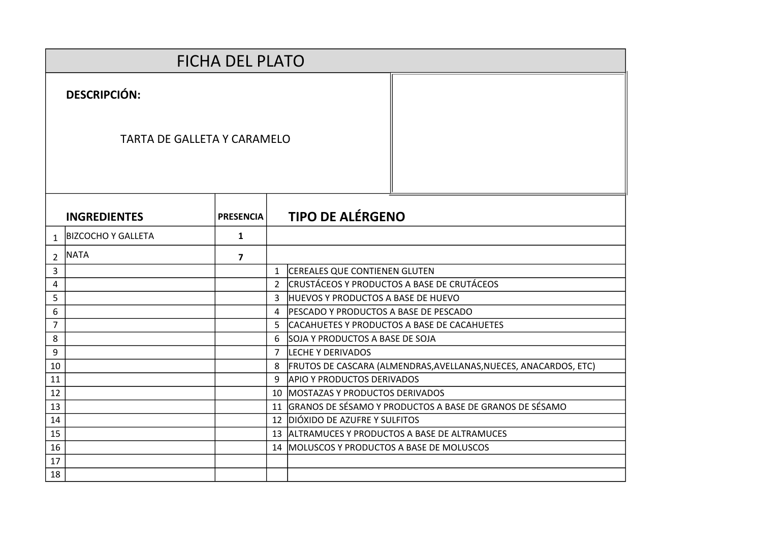| <b>FICHA DEL PLATO</b> |                                    |                  |                |                                                                  |  |  |  |  |
|------------------------|------------------------------------|------------------|----------------|------------------------------------------------------------------|--|--|--|--|
|                        | <b>DESCRIPCIÓN:</b>                |                  |                |                                                                  |  |  |  |  |
|                        | <b>TARTA DE GALLETA Y CARAMELO</b> |                  |                |                                                                  |  |  |  |  |
|                        | <b>INGREDIENTES</b>                | <b>PRESENCIA</b> |                | <b>TIPO DE ALÉRGENO</b>                                          |  |  |  |  |
| $\mathbf{1}$           | <b>BIZCOCHO Y GALLETA</b>          | $\mathbf{1}$     |                |                                                                  |  |  |  |  |
| $\overline{2}$         | <b>NATA</b>                        | 7                |                |                                                                  |  |  |  |  |
| 3                      |                                    |                  | $\mathbf{1}$   | CEREALES QUE CONTIENEN GLUTEN                                    |  |  |  |  |
| 4                      |                                    |                  | $\overline{2}$ | CRUSTÁCEOS Y PRODUCTOS A BASE DE CRUTÁCEOS                       |  |  |  |  |
| 5                      |                                    |                  | 3              | <b>HUEVOS Y PRODUCTOS A BASE DE HUEVO</b>                        |  |  |  |  |
| 6                      |                                    |                  | $\overline{4}$ | <b>PESCADO Y PRODUCTOS A BASE DE PESCADO</b>                     |  |  |  |  |
| $\overline{7}$         |                                    |                  | 5.             | CACAHUETES Y PRODUCTOS A BASE DE CACAHUETES                      |  |  |  |  |
| 8                      |                                    |                  | 6              | SOJA Y PRODUCTOS A BASE DE SOJA                                  |  |  |  |  |
| 9                      |                                    |                  | $\overline{7}$ | LECHE Y DERIVADOS                                                |  |  |  |  |
| 10                     |                                    |                  | 8              | FRUTOS DE CASCARA (ALMENDRAS, AVELLANAS, NUECES, ANACARDOS, ETC) |  |  |  |  |
| 11                     |                                    |                  | 9              | <b>APIO Y PRODUCTOS DERIVADOS</b>                                |  |  |  |  |
| 12                     |                                    |                  |                | 10 MOSTAZAS Y PRODUCTOS DERIVADOS                                |  |  |  |  |
| 13                     |                                    |                  |                | 11 GRANOS DE SÉSAMO Y PRODUCTOS A BASE DE GRANOS DE SÉSAMO       |  |  |  |  |
| 14                     |                                    |                  |                | 12 DIÓXIDO DE AZUFRE Y SULFITOS                                  |  |  |  |  |
| 15                     |                                    |                  |                | 13 ALTRAMUCES Y PRODUCTOS A BASE DE ALTRAMUCES                   |  |  |  |  |
| 16                     |                                    |                  |                | 14   MOLUSCOS Y PRODUCTOS A BASE DE MOLUSCOS                     |  |  |  |  |
| 17                     |                                    |                  |                |                                                                  |  |  |  |  |
| 18                     |                                    |                  |                |                                                                  |  |  |  |  |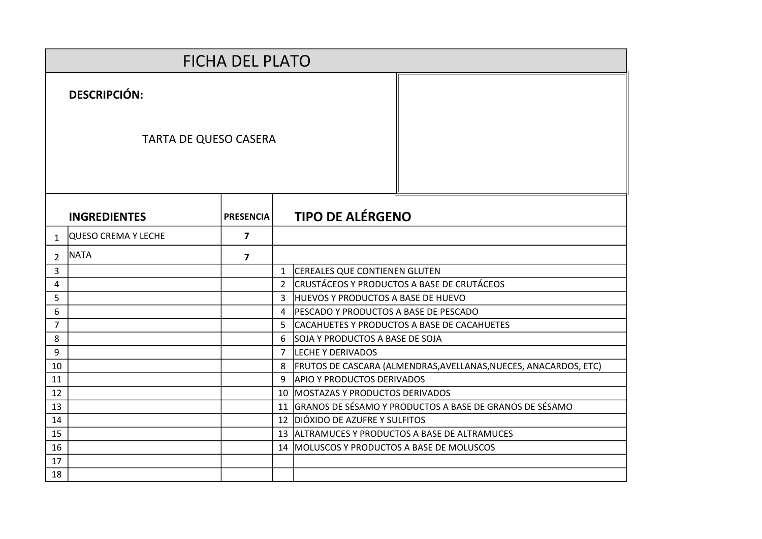|                | <b>FICHA DEL PLATO</b>       |                         |                |                                                                  |  |  |  |  |  |
|----------------|------------------------------|-------------------------|----------------|------------------------------------------------------------------|--|--|--|--|--|
|                | <b>DESCRIPCIÓN:</b>          |                         |                |                                                                  |  |  |  |  |  |
|                | <b>TARTA DE QUESO CASERA</b> |                         |                |                                                                  |  |  |  |  |  |
|                | <b>INGREDIENTES</b>          | <b>PRESENCIA</b>        |                | <b>TIPO DE ALÉRGENO</b>                                          |  |  |  |  |  |
| 1              | QUESO CREMA Y LECHE          | $\overline{7}$          |                |                                                                  |  |  |  |  |  |
| $\mathcal{P}$  | <b>NATA</b>                  | $\overline{\mathbf{z}}$ |                |                                                                  |  |  |  |  |  |
| 3              |                              |                         | $\mathbf{1}$   | <b>CEREALES QUE CONTIENEN GLUTEN</b>                             |  |  |  |  |  |
| 4              |                              |                         | $\overline{2}$ | CRUSTÁCEOS Y PRODUCTOS A BASE DE CRUTÁCEOS                       |  |  |  |  |  |
| 5              |                              |                         | 3              | <b>HUEVOS Y PRODUCTOS A BASE DE HUEVO</b>                        |  |  |  |  |  |
| 6              |                              |                         | $\overline{a}$ | <b>PESCADO Y PRODUCTOS A BASE DE PESCADO</b>                     |  |  |  |  |  |
| $\overline{7}$ |                              |                         | 5              | CACAHUETES Y PRODUCTOS A BASE DE CACAHUETES                      |  |  |  |  |  |
| 8              |                              |                         | 6              | SOJA Y PRODUCTOS A BASE DE SOJA                                  |  |  |  |  |  |
| 9              |                              |                         | $\overline{7}$ | LECHE Y DERIVADOS                                                |  |  |  |  |  |
| 10             |                              |                         | 8              | FRUTOS DE CASCARA (ALMENDRAS, AVELLANAS, NUECES, ANACARDOS, ETC) |  |  |  |  |  |
| 11             |                              |                         | q              | <b>APIO Y PRODUCTOS DERIVADOS</b>                                |  |  |  |  |  |
| 12             |                              |                         |                | 10 MOSTAZAS Y PRODUCTOS DERIVADOS                                |  |  |  |  |  |
| 13             |                              |                         |                | 11 GRANOS DE SÉSAMO Y PRODUCTOS A BASE DE GRANOS DE SÉSAMO       |  |  |  |  |  |
| 14             |                              |                         |                | 12 DIÓXIDO DE AZUFRE Y SULFITOS                                  |  |  |  |  |  |
| 15             |                              |                         |                | 13 ALTRAMUCES Y PRODUCTOS A BASE DE ALTRAMUCES                   |  |  |  |  |  |
| 16             |                              |                         |                | 14   MOLUSCOS Y PRODUCTOS A BASE DE MOLUSCOS                     |  |  |  |  |  |
| 17             |                              |                         |                |                                                                  |  |  |  |  |  |
| 18             |                              |                         |                |                                                                  |  |  |  |  |  |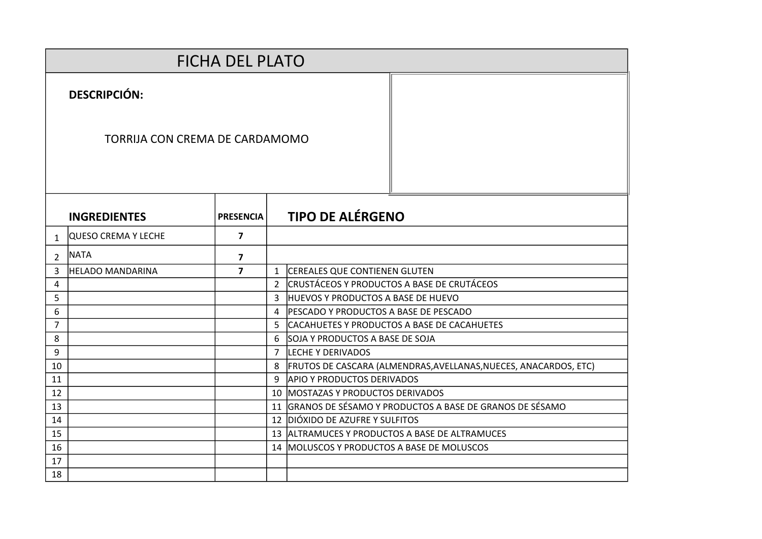|                | <b>FICHA DEL PLATO</b>         |                  |               |                                                                  |
|----------------|--------------------------------|------------------|---------------|------------------------------------------------------------------|
|                | <b>DESCRIPCIÓN:</b>            |                  |               |                                                                  |
|                | TORRIJA CON CREMA DE CARDAMOMO |                  |               |                                                                  |
|                | <b>INGREDIENTES</b>            | <b>PRESENCIA</b> |               | <b>TIPO DE ALÉRGENO</b>                                          |
| $\mathbf{1}$   | QUESO CREMA Y LECHE            | $\overline{7}$   |               |                                                                  |
| $\mathcal{P}$  | <b>NATA</b>                    | 7                |               |                                                                  |
| 3              | <b>HELADO MANDARINA</b>        | $\overline{7}$   |               | 1 CEREALES QUE CONTIENEN GLUTEN                                  |
| 4              |                                |                  | $\mathcal{L}$ | <b>CRUSTÁCEOS Y PRODUCTOS A BASE DE CRUTÁCEOS</b>                |
| 5              |                                |                  | 3             | <b>HUEVOS Y PRODUCTOS A BASE DE HUEVO</b>                        |
| 6              |                                |                  | 4             | PESCADO Y PRODUCTOS A BASE DE PESCADO                            |
| $\overline{7}$ |                                |                  | 5.            | CACAHUETES Y PRODUCTOS A BASE DE CACAHUETES                      |
| 8              |                                |                  | 6             | SOJA Y PRODUCTOS A BASE DE SOJA                                  |
| 9              |                                |                  | $7^{\circ}$   | LECHE Y DERIVADOS                                                |
| 10             |                                |                  | 8             | FRUTOS DE CASCARA (ALMENDRAS, AVELLANAS, NUECES, ANACARDOS, ETC) |
| 11             |                                |                  | 9             | <b>APIO Y PRODUCTOS DERIVADOS</b>                                |
| 12             |                                |                  |               | 10 MOSTAZAS Y PRODUCTOS DERIVADOS                                |
| 13             |                                |                  |               | 11 GRANOS DE SÉSAMO Y PRODUCTOS A BASE DE GRANOS DE SÉSAMO       |
| 14             |                                |                  |               | 12 DIÓXIDO DE AZUFRE Y SULFITOS                                  |
| 15             |                                |                  |               | 13 ALTRAMUCES Y PRODUCTOS A BASE DE ALTRAMUCES                   |
| 16             |                                |                  |               | 14 MOLUSCOS Y PRODUCTOS A BASE DE MOLUSCOS                       |
| 17             |                                |                  |               |                                                                  |
| 18             |                                |                  |               |                                                                  |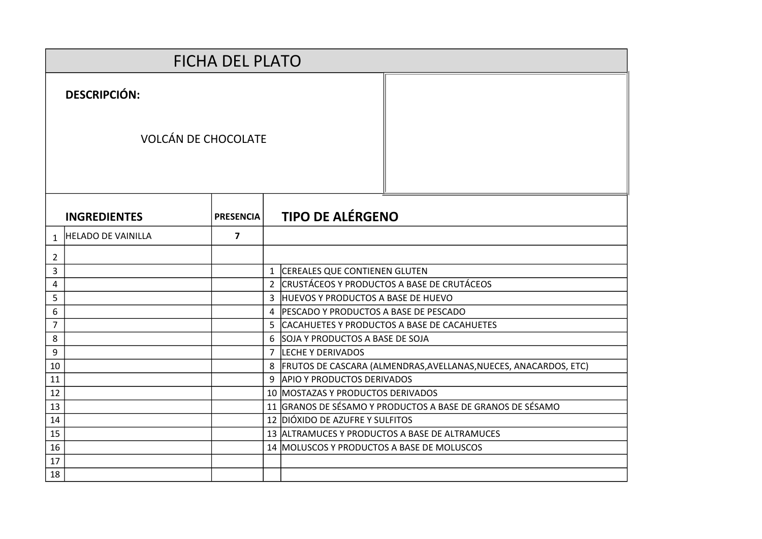|    | <b>FICHA DEL PLATO</b>     |                  |  |                                                                      |  |  |  |  |
|----|----------------------------|------------------|--|----------------------------------------------------------------------|--|--|--|--|
|    | <b>DESCRIPCIÓN:</b>        |                  |  |                                                                      |  |  |  |  |
|    | <b>VOLCÁN DE CHOCOLATE</b> |                  |  |                                                                      |  |  |  |  |
|    | <b>INGREDIENTES</b>        | <b>PRESENCIA</b> |  | <b>TIPO DE ALÉRGENO</b>                                              |  |  |  |  |
| 1  | <b>HELADO DE VAINILLA</b>  | $\overline{7}$   |  |                                                                      |  |  |  |  |
| 2  |                            |                  |  |                                                                      |  |  |  |  |
| 3  |                            |                  |  | 1 CEREALES QUE CONTIENEN GLUTEN                                      |  |  |  |  |
| 4  |                            |                  |  | 2 CRUSTÁCEOS Y PRODUCTOS A BASE DE CRUTÁCEOS                         |  |  |  |  |
| 5  |                            |                  |  | 3 HUEVOS Y PRODUCTOS A BASE DE HUEVO                                 |  |  |  |  |
| 6  |                            |                  |  | 4   PESCADO Y PRODUCTOS A BASE DE PESCADO                            |  |  |  |  |
| 7  |                            |                  |  | 5 CACAHUETES Y PRODUCTOS A BASE DE CACAHUETES                        |  |  |  |  |
| 8  |                            |                  |  | 6 SOJA Y PRODUCTOS A BASE DE SOJA                                    |  |  |  |  |
| 9  |                            |                  |  | 7 LECHE Y DERIVADOS                                                  |  |  |  |  |
| 10 |                            |                  |  | 8   FRUTOS DE CASCARA (ALMENDRAS, AVELLANAS, NUECES, ANACARDOS, ETC) |  |  |  |  |
| 11 |                            |                  |  | 9 APIO Y PRODUCTOS DERIVADOS                                         |  |  |  |  |
| 12 |                            |                  |  | 10 MOSTAZAS Y PRODUCTOS DERIVADOS                                    |  |  |  |  |
| 13 |                            |                  |  | 11 GRANOS DE SÉSAMO Y PRODUCTOS A BASE DE GRANOS DE SÉSAMO           |  |  |  |  |
| 14 |                            |                  |  | 12 DIÓXIDO DE AZUFRE Y SULFITOS                                      |  |  |  |  |
| 15 |                            |                  |  | 13 ALTRAMUCES Y PRODUCTOS A BASE DE ALTRAMUCES                       |  |  |  |  |
| 16 |                            |                  |  | 14 MOLUSCOS Y PRODUCTOS A BASE DE MOLUSCOS                           |  |  |  |  |
| 17 |                            |                  |  |                                                                      |  |  |  |  |
| 18 |                            |                  |  |                                                                      |  |  |  |  |